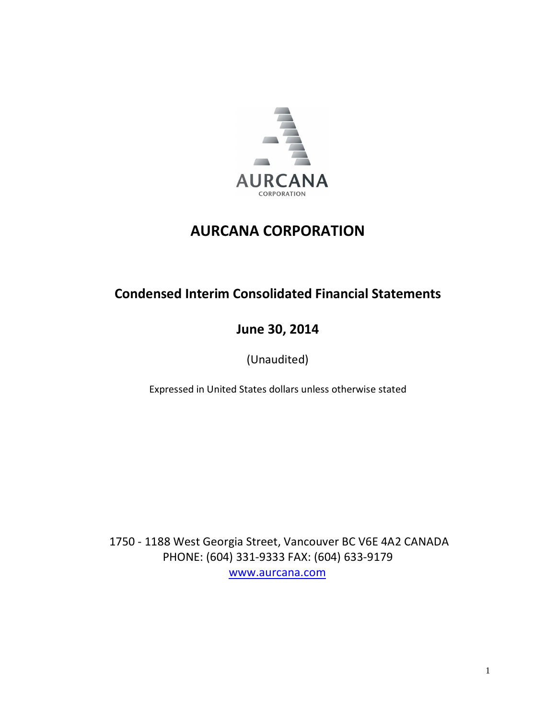

# **Condensed Interim Consolidated Financial Statements**

**June 30, 2014**

(Unaudited)

Expressed in United States dollars unless otherwise stated

1750 - 1188 West Georgia Street, Vancouver BC V6E 4A2 CANADA PHONE: (604) 331-9333 FAX: (604) 633-9179 [www.aurcana.com](http://www.aurcana.com/)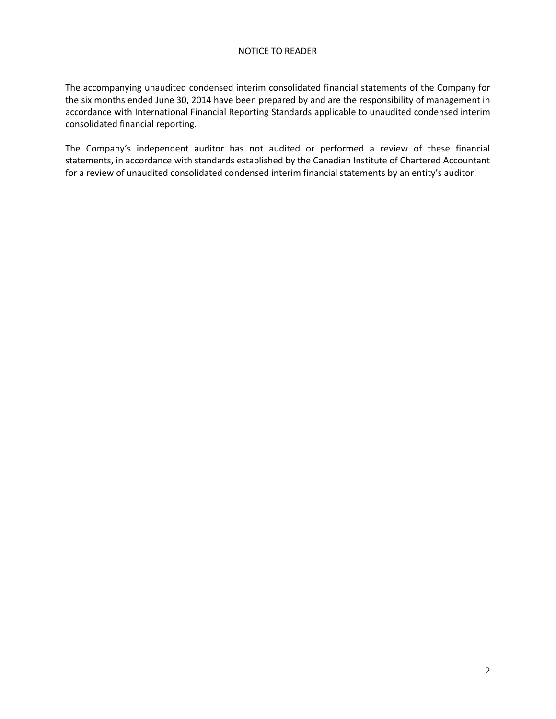#### NOTICE TO READER

The accompanying unaudited condensed interim consolidated financial statements of the Company for the six months ended June 30, 2014 have been prepared by and are the responsibility of management in accordance with International Financial Reporting Standards applicable to unaudited condensed interim consolidated financial reporting.

The Company's independent auditor has not audited or performed a review of these financial statements, in accordance with standards established by the Canadian Institute of Chartered Accountant for a review of unaudited consolidated condensed interim financial statements by an entity's auditor.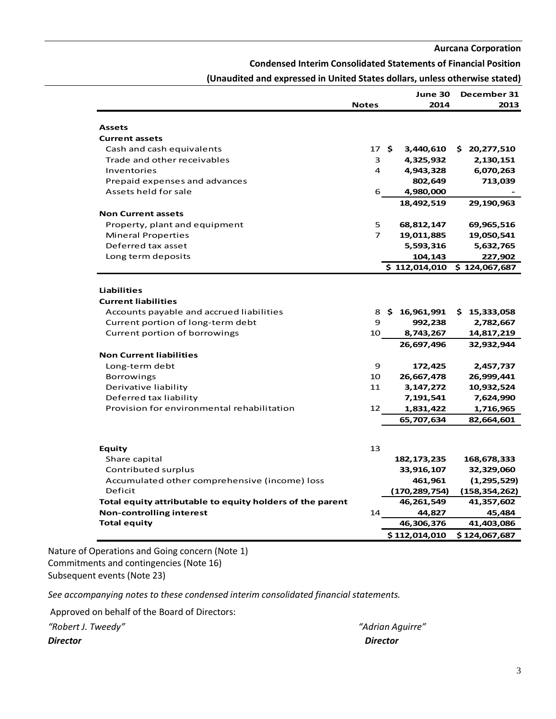#### **Condensed Interim Consolidated Statements of Financial Position**

|                                                           | <b>Notes</b>   |      | June 30<br>2014      | December 31<br>2013         |
|-----------------------------------------------------------|----------------|------|----------------------|-----------------------------|
|                                                           |                |      |                      |                             |
| Assets                                                    |                |      |                      |                             |
| <b>Current assets</b>                                     |                |      |                      |                             |
| Cash and cash equivalents                                 |                | 17 S | 3,440,610            | \$20,277,510                |
| Trade and other receivables                               | 3              |      | 4,325,932            | 2,130,151                   |
| Inventories                                               | 4              |      | 4,943,328            | 6,070,263                   |
| Prepaid expenses and advances                             |                |      | 802,649              | 713,039                     |
| Assets held for sale                                      | 6              |      | 4,980,000            |                             |
|                                                           |                |      | 18,492,519           | 29,190,963                  |
| <b>Non Current assets</b>                                 |                |      |                      |                             |
| Property, plant and equipment                             | 5              |      | 68,812,147           | 69,965,516                  |
| <b>Mineral Properties</b>                                 | $\overline{7}$ |      | 19,011,885           | 19,050,541                  |
| Deferred tax asset                                        |                |      | 5,593,316            | 5,632,765                   |
| Long term deposits                                        |                |      | 104,143              | 227,902                     |
|                                                           |                |      |                      | \$112,014,010 \$124,067,687 |
|                                                           |                |      |                      |                             |
| <b>Liabilities</b>                                        |                |      |                      |                             |
| <b>Current liabilities</b>                                |                |      |                      |                             |
| Accounts payable and accrued liabilities                  | 8              |      | \$16,961,991         | \$15,333,058                |
| Current portion of long-term debt                         | 9              |      | 992,238              | 2,782,667                   |
| Current portion of borrowings                             | 10             |      | 8,743,267            | 14,817,219                  |
|                                                           |                |      | 26,697,496           | 32,932,944                  |
| <b>Non Current liabilities</b>                            |                |      |                      |                             |
| Long-term debt                                            | 9              |      | 172,425              | 2,457,737                   |
| <b>Borrowings</b>                                         | 10             |      | 26,667,478           | 26,999,441                  |
| Derivative liability                                      | 11             |      | 3, 147, 272          | 10,932,524                  |
| Deferred tax liability                                    |                |      | 7,191,541            | 7,624,990                   |
| Provision for environmental rehabilitation                | 12             |      | 1,831,422            | 1,716,965                   |
|                                                           |                |      | 65,707,634           | 82,664,601                  |
|                                                           |                |      |                      |                             |
|                                                           |                |      |                      |                             |
| Equity                                                    | 13             |      |                      |                             |
| Share capital                                             |                |      | 182, 173, 235        | 168,678,333                 |
| Contributed surplus                                       |                |      | 33,916,107           | 32,329,060                  |
| Accumulated other comprehensive (income) loss             |                |      | 461,961              | (1,295,529)                 |
| Deficit                                                   |                |      | (170, 289, 754)      | (158, 354, 262)             |
| Total equity attributable to equity holders of the parent |                |      | 46,261,549<br>44,827 | 41,357,602                  |
| <b>Non-controlling interest</b><br><b>Total equity</b>    | 14             |      |                      | 45,484                      |
|                                                           |                |      | 46,306,376           | 41,403,086                  |
|                                                           |                |      | \$112,014,010        | \$124,067,687               |

**(Unaudited and expressed in United States dollars, unless otherwise stated)**

Nature of Operations and Going concern (Note 1) Commitments and contingencies (Note 16) Subsequent events (Note 23)

*See accompanying notes to these condensed interim consolidated financial statements.*

Approved on behalf of the Board of Directors:

*"Robert J. Tweedy" "Adrian Aguirre"* 

*Director Director*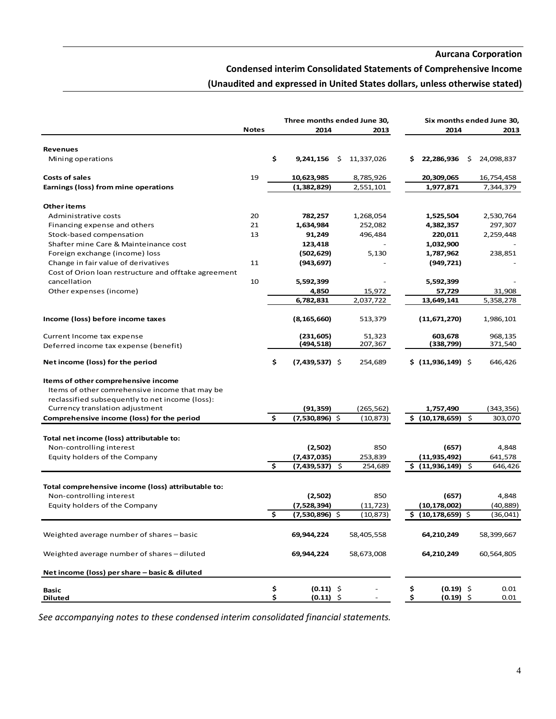## **Condensed interim Consolidated Statements of Comprehensive Income**

# **(Unaudited and expressed in United States dollars, unless otherwise stated)**

| <b>Notes</b><br>2014<br>2014<br>2013<br>2013<br><b>Revenues</b><br>\$<br>9,241,156<br>\$.<br>11,337,026<br>22,286,936<br>\$<br>24,098,837<br>Mining operations<br>S.<br>19<br><b>Costs of sales</b><br>10,623,985<br>8,785,926<br>20,309,065<br>16,754,458<br>(1, 382, 829)<br>1,977,871<br>Earnings (loss) from mine operations<br>2,551,101<br>7,344,379<br>Other items<br>20<br>Administrative costs<br>782,257<br>1,268,054<br>2,530,764<br>1,525,504<br>297,307<br>21<br>1,634,984<br>252,082<br>4,382,357<br>Financing expense and others<br>Stock-based compensation<br>13<br>91,249<br>496,484<br>220,011<br>2,259,448<br>Shafter mine Care & Mainteinance cost<br>123,418<br>1,032,900<br>Foreign exchange (income) loss<br>(502, 629)<br>5,130<br>1,787,962<br>238,851<br>Change in fair value of derivatives<br>11<br>(943, 697)<br>(949, 721)<br>Cost of Orion Ioan restructure and offtake agreement<br>cancellation<br>10<br>5,592,399<br>5,592,399<br>Other expenses (income)<br>4,850<br>15,972<br>57,729<br>31,908<br>6,782,831<br>2,037,722<br>13,649,141<br>5,358,278<br>Income (loss) before income taxes<br>(8, 165, 660)<br>513,379<br>(11,671,270)<br>1,986,101<br>(231, 605)<br>51,323<br>603,678<br>968,135<br>Current Income tax expense<br>207,367<br>(494,518)<br>(338,799)<br>371,540<br>Deferred income tax expense (benefit)<br>\$<br>$(7,439,537)$ \$<br>\$(11,936,149)<br>Net income (loss) for the period<br>254,689<br>646,426<br>Items of other comprehensive income<br>Items of other comrehensive income that may be<br>reclassified subsequently to net income (loss):<br>Currency translation adjustment<br>(91, 359)<br>(265,562)<br>1,757,490<br>\$.<br>Comprehensive income (loss) for the period<br>(7,530,896) \$<br>(10, 873)<br>\$ (10, 178, 659) \$<br>303,070<br>Total net income (loss) attributable to:<br>(657)<br>4,848<br>Non-controlling interest<br>(2,502)<br>850<br>(11, 935, 492)<br>Equity holders of the Company<br>(7,437,035)<br>253,839<br>641,578<br>Ś<br>(7,439,537)<br>254,689<br>\$(11,936,149)<br>S.<br>646,426<br>Total comprehensive income (loss) attributable to:<br>Non-controlling interest<br>(2,502)<br>850<br>(657)<br>4,848<br>Equity holders of the Company<br>(7,528,394)<br>(11, 723)<br>(10, 178, 002)<br>(40, 889)<br>\$<br>\$(10, 178, 659)<br>(7,530,896)<br>(10, 873)<br>(36,041)<br>Weighted average number of shares – basic<br>64,210,249<br>58,399,667<br>69,944,224<br>58,405,558<br>Weighted average number of shares - diluted<br>69,944,224<br>58,673,008<br>64,210,249<br>60,564,805<br>Net income (loss) per share - basic & diluted<br>\$<br>$(0.11)$ \$<br>$(0.19)$ \$<br>\$<br>0.01<br>Basic<br>\$<br>\$<br>$(0.11)$ \$<br>$(0.19)$ \$<br>0.01<br><b>Diluted</b> |  | Three months ended June 30, |  | Six months ended June 30, |  |  |  |  |
|----------------------------------------------------------------------------------------------------------------------------------------------------------------------------------------------------------------------------------------------------------------------------------------------------------------------------------------------------------------------------------------------------------------------------------------------------------------------------------------------------------------------------------------------------------------------------------------------------------------------------------------------------------------------------------------------------------------------------------------------------------------------------------------------------------------------------------------------------------------------------------------------------------------------------------------------------------------------------------------------------------------------------------------------------------------------------------------------------------------------------------------------------------------------------------------------------------------------------------------------------------------------------------------------------------------------------------------------------------------------------------------------------------------------------------------------------------------------------------------------------------------------------------------------------------------------------------------------------------------------------------------------------------------------------------------------------------------------------------------------------------------------------------------------------------------------------------------------------------------------------------------------------------------------------------------------------------------------------------------------------------------------------------------------------------------------------------------------------------------------------------------------------------------------------------------------------------------------------------------------------------------------------------------------------------------------------------------------------------------------------------------------------------------------------------------------------------------------------------------------------------------------------------------------------------------------------------------------------------------------------------------------------------------------------------------------------------------------------------------------------------------------|--|-----------------------------|--|---------------------------|--|--|--|--|
|                                                                                                                                                                                                                                                                                                                                                                                                                                                                                                                                                                                                                                                                                                                                                                                                                                                                                                                                                                                                                                                                                                                                                                                                                                                                                                                                                                                                                                                                                                                                                                                                                                                                                                                                                                                                                                                                                                                                                                                                                                                                                                                                                                                                                                                                                                                                                                                                                                                                                                                                                                                                                                                                                                                                                                      |  |                             |  |                           |  |  |  |  |
|                                                                                                                                                                                                                                                                                                                                                                                                                                                                                                                                                                                                                                                                                                                                                                                                                                                                                                                                                                                                                                                                                                                                                                                                                                                                                                                                                                                                                                                                                                                                                                                                                                                                                                                                                                                                                                                                                                                                                                                                                                                                                                                                                                                                                                                                                                                                                                                                                                                                                                                                                                                                                                                                                                                                                                      |  |                             |  |                           |  |  |  |  |
|                                                                                                                                                                                                                                                                                                                                                                                                                                                                                                                                                                                                                                                                                                                                                                                                                                                                                                                                                                                                                                                                                                                                                                                                                                                                                                                                                                                                                                                                                                                                                                                                                                                                                                                                                                                                                                                                                                                                                                                                                                                                                                                                                                                                                                                                                                                                                                                                                                                                                                                                                                                                                                                                                                                                                                      |  |                             |  |                           |  |  |  |  |
|                                                                                                                                                                                                                                                                                                                                                                                                                                                                                                                                                                                                                                                                                                                                                                                                                                                                                                                                                                                                                                                                                                                                                                                                                                                                                                                                                                                                                                                                                                                                                                                                                                                                                                                                                                                                                                                                                                                                                                                                                                                                                                                                                                                                                                                                                                                                                                                                                                                                                                                                                                                                                                                                                                                                                                      |  |                             |  |                           |  |  |  |  |
|                                                                                                                                                                                                                                                                                                                                                                                                                                                                                                                                                                                                                                                                                                                                                                                                                                                                                                                                                                                                                                                                                                                                                                                                                                                                                                                                                                                                                                                                                                                                                                                                                                                                                                                                                                                                                                                                                                                                                                                                                                                                                                                                                                                                                                                                                                                                                                                                                                                                                                                                                                                                                                                                                                                                                                      |  |                             |  |                           |  |  |  |  |
|                                                                                                                                                                                                                                                                                                                                                                                                                                                                                                                                                                                                                                                                                                                                                                                                                                                                                                                                                                                                                                                                                                                                                                                                                                                                                                                                                                                                                                                                                                                                                                                                                                                                                                                                                                                                                                                                                                                                                                                                                                                                                                                                                                                                                                                                                                                                                                                                                                                                                                                                                                                                                                                                                                                                                                      |  |                             |  |                           |  |  |  |  |
|                                                                                                                                                                                                                                                                                                                                                                                                                                                                                                                                                                                                                                                                                                                                                                                                                                                                                                                                                                                                                                                                                                                                                                                                                                                                                                                                                                                                                                                                                                                                                                                                                                                                                                                                                                                                                                                                                                                                                                                                                                                                                                                                                                                                                                                                                                                                                                                                                                                                                                                                                                                                                                                                                                                                                                      |  |                             |  |                           |  |  |  |  |
|                                                                                                                                                                                                                                                                                                                                                                                                                                                                                                                                                                                                                                                                                                                                                                                                                                                                                                                                                                                                                                                                                                                                                                                                                                                                                                                                                                                                                                                                                                                                                                                                                                                                                                                                                                                                                                                                                                                                                                                                                                                                                                                                                                                                                                                                                                                                                                                                                                                                                                                                                                                                                                                                                                                                                                      |  |                             |  |                           |  |  |  |  |
|                                                                                                                                                                                                                                                                                                                                                                                                                                                                                                                                                                                                                                                                                                                                                                                                                                                                                                                                                                                                                                                                                                                                                                                                                                                                                                                                                                                                                                                                                                                                                                                                                                                                                                                                                                                                                                                                                                                                                                                                                                                                                                                                                                                                                                                                                                                                                                                                                                                                                                                                                                                                                                                                                                                                                                      |  |                             |  |                           |  |  |  |  |
|                                                                                                                                                                                                                                                                                                                                                                                                                                                                                                                                                                                                                                                                                                                                                                                                                                                                                                                                                                                                                                                                                                                                                                                                                                                                                                                                                                                                                                                                                                                                                                                                                                                                                                                                                                                                                                                                                                                                                                                                                                                                                                                                                                                                                                                                                                                                                                                                                                                                                                                                                                                                                                                                                                                                                                      |  |                             |  |                           |  |  |  |  |
|                                                                                                                                                                                                                                                                                                                                                                                                                                                                                                                                                                                                                                                                                                                                                                                                                                                                                                                                                                                                                                                                                                                                                                                                                                                                                                                                                                                                                                                                                                                                                                                                                                                                                                                                                                                                                                                                                                                                                                                                                                                                                                                                                                                                                                                                                                                                                                                                                                                                                                                                                                                                                                                                                                                                                                      |  |                             |  |                           |  |  |  |  |
| (343,356)                                                                                                                                                                                                                                                                                                                                                                                                                                                                                                                                                                                                                                                                                                                                                                                                                                                                                                                                                                                                                                                                                                                                                                                                                                                                                                                                                                                                                                                                                                                                                                                                                                                                                                                                                                                                                                                                                                                                                                                                                                                                                                                                                                                                                                                                                                                                                                                                                                                                                                                                                                                                                                                                                                                                                            |  |                             |  |                           |  |  |  |  |
|                                                                                                                                                                                                                                                                                                                                                                                                                                                                                                                                                                                                                                                                                                                                                                                                                                                                                                                                                                                                                                                                                                                                                                                                                                                                                                                                                                                                                                                                                                                                                                                                                                                                                                                                                                                                                                                                                                                                                                                                                                                                                                                                                                                                                                                                                                                                                                                                                                                                                                                                                                                                                                                                                                                                                                      |  |                             |  |                           |  |  |  |  |
|                                                                                                                                                                                                                                                                                                                                                                                                                                                                                                                                                                                                                                                                                                                                                                                                                                                                                                                                                                                                                                                                                                                                                                                                                                                                                                                                                                                                                                                                                                                                                                                                                                                                                                                                                                                                                                                                                                                                                                                                                                                                                                                                                                                                                                                                                                                                                                                                                                                                                                                                                                                                                                                                                                                                                                      |  |                             |  |                           |  |  |  |  |
|                                                                                                                                                                                                                                                                                                                                                                                                                                                                                                                                                                                                                                                                                                                                                                                                                                                                                                                                                                                                                                                                                                                                                                                                                                                                                                                                                                                                                                                                                                                                                                                                                                                                                                                                                                                                                                                                                                                                                                                                                                                                                                                                                                                                                                                                                                                                                                                                                                                                                                                                                                                                                                                                                                                                                                      |  |                             |  |                           |  |  |  |  |
|                                                                                                                                                                                                                                                                                                                                                                                                                                                                                                                                                                                                                                                                                                                                                                                                                                                                                                                                                                                                                                                                                                                                                                                                                                                                                                                                                                                                                                                                                                                                                                                                                                                                                                                                                                                                                                                                                                                                                                                                                                                                                                                                                                                                                                                                                                                                                                                                                                                                                                                                                                                                                                                                                                                                                                      |  |                             |  |                           |  |  |  |  |
|                                                                                                                                                                                                                                                                                                                                                                                                                                                                                                                                                                                                                                                                                                                                                                                                                                                                                                                                                                                                                                                                                                                                                                                                                                                                                                                                                                                                                                                                                                                                                                                                                                                                                                                                                                                                                                                                                                                                                                                                                                                                                                                                                                                                                                                                                                                                                                                                                                                                                                                                                                                                                                                                                                                                                                      |  |                             |  |                           |  |  |  |  |
|                                                                                                                                                                                                                                                                                                                                                                                                                                                                                                                                                                                                                                                                                                                                                                                                                                                                                                                                                                                                                                                                                                                                                                                                                                                                                                                                                                                                                                                                                                                                                                                                                                                                                                                                                                                                                                                                                                                                                                                                                                                                                                                                                                                                                                                                                                                                                                                                                                                                                                                                                                                                                                                                                                                                                                      |  |                             |  |                           |  |  |  |  |
|                                                                                                                                                                                                                                                                                                                                                                                                                                                                                                                                                                                                                                                                                                                                                                                                                                                                                                                                                                                                                                                                                                                                                                                                                                                                                                                                                                                                                                                                                                                                                                                                                                                                                                                                                                                                                                                                                                                                                                                                                                                                                                                                                                                                                                                                                                                                                                                                                                                                                                                                                                                                                                                                                                                                                                      |  |                             |  |                           |  |  |  |  |
|                                                                                                                                                                                                                                                                                                                                                                                                                                                                                                                                                                                                                                                                                                                                                                                                                                                                                                                                                                                                                                                                                                                                                                                                                                                                                                                                                                                                                                                                                                                                                                                                                                                                                                                                                                                                                                                                                                                                                                                                                                                                                                                                                                                                                                                                                                                                                                                                                                                                                                                                                                                                                                                                                                                                                                      |  |                             |  |                           |  |  |  |  |
|                                                                                                                                                                                                                                                                                                                                                                                                                                                                                                                                                                                                                                                                                                                                                                                                                                                                                                                                                                                                                                                                                                                                                                                                                                                                                                                                                                                                                                                                                                                                                                                                                                                                                                                                                                                                                                                                                                                                                                                                                                                                                                                                                                                                                                                                                                                                                                                                                                                                                                                                                                                                                                                                                                                                                                      |  |                             |  |                           |  |  |  |  |
|                                                                                                                                                                                                                                                                                                                                                                                                                                                                                                                                                                                                                                                                                                                                                                                                                                                                                                                                                                                                                                                                                                                                                                                                                                                                                                                                                                                                                                                                                                                                                                                                                                                                                                                                                                                                                                                                                                                                                                                                                                                                                                                                                                                                                                                                                                                                                                                                                                                                                                                                                                                                                                                                                                                                                                      |  |                             |  |                           |  |  |  |  |
|                                                                                                                                                                                                                                                                                                                                                                                                                                                                                                                                                                                                                                                                                                                                                                                                                                                                                                                                                                                                                                                                                                                                                                                                                                                                                                                                                                                                                                                                                                                                                                                                                                                                                                                                                                                                                                                                                                                                                                                                                                                                                                                                                                                                                                                                                                                                                                                                                                                                                                                                                                                                                                                                                                                                                                      |  |                             |  |                           |  |  |  |  |
|                                                                                                                                                                                                                                                                                                                                                                                                                                                                                                                                                                                                                                                                                                                                                                                                                                                                                                                                                                                                                                                                                                                                                                                                                                                                                                                                                                                                                                                                                                                                                                                                                                                                                                                                                                                                                                                                                                                                                                                                                                                                                                                                                                                                                                                                                                                                                                                                                                                                                                                                                                                                                                                                                                                                                                      |  |                             |  |                           |  |  |  |  |
|                                                                                                                                                                                                                                                                                                                                                                                                                                                                                                                                                                                                                                                                                                                                                                                                                                                                                                                                                                                                                                                                                                                                                                                                                                                                                                                                                                                                                                                                                                                                                                                                                                                                                                                                                                                                                                                                                                                                                                                                                                                                                                                                                                                                                                                                                                                                                                                                                                                                                                                                                                                                                                                                                                                                                                      |  |                             |  |                           |  |  |  |  |
|                                                                                                                                                                                                                                                                                                                                                                                                                                                                                                                                                                                                                                                                                                                                                                                                                                                                                                                                                                                                                                                                                                                                                                                                                                                                                                                                                                                                                                                                                                                                                                                                                                                                                                                                                                                                                                                                                                                                                                                                                                                                                                                                                                                                                                                                                                                                                                                                                                                                                                                                                                                                                                                                                                                                                                      |  |                             |  |                           |  |  |  |  |
|                                                                                                                                                                                                                                                                                                                                                                                                                                                                                                                                                                                                                                                                                                                                                                                                                                                                                                                                                                                                                                                                                                                                                                                                                                                                                                                                                                                                                                                                                                                                                                                                                                                                                                                                                                                                                                                                                                                                                                                                                                                                                                                                                                                                                                                                                                                                                                                                                                                                                                                                                                                                                                                                                                                                                                      |  |                             |  |                           |  |  |  |  |
|                                                                                                                                                                                                                                                                                                                                                                                                                                                                                                                                                                                                                                                                                                                                                                                                                                                                                                                                                                                                                                                                                                                                                                                                                                                                                                                                                                                                                                                                                                                                                                                                                                                                                                                                                                                                                                                                                                                                                                                                                                                                                                                                                                                                                                                                                                                                                                                                                                                                                                                                                                                                                                                                                                                                                                      |  |                             |  |                           |  |  |  |  |
|                                                                                                                                                                                                                                                                                                                                                                                                                                                                                                                                                                                                                                                                                                                                                                                                                                                                                                                                                                                                                                                                                                                                                                                                                                                                                                                                                                                                                                                                                                                                                                                                                                                                                                                                                                                                                                                                                                                                                                                                                                                                                                                                                                                                                                                                                                                                                                                                                                                                                                                                                                                                                                                                                                                                                                      |  |                             |  |                           |  |  |  |  |
|                                                                                                                                                                                                                                                                                                                                                                                                                                                                                                                                                                                                                                                                                                                                                                                                                                                                                                                                                                                                                                                                                                                                                                                                                                                                                                                                                                                                                                                                                                                                                                                                                                                                                                                                                                                                                                                                                                                                                                                                                                                                                                                                                                                                                                                                                                                                                                                                                                                                                                                                                                                                                                                                                                                                                                      |  |                             |  |                           |  |  |  |  |
|                                                                                                                                                                                                                                                                                                                                                                                                                                                                                                                                                                                                                                                                                                                                                                                                                                                                                                                                                                                                                                                                                                                                                                                                                                                                                                                                                                                                                                                                                                                                                                                                                                                                                                                                                                                                                                                                                                                                                                                                                                                                                                                                                                                                                                                                                                                                                                                                                                                                                                                                                                                                                                                                                                                                                                      |  |                             |  |                           |  |  |  |  |
|                                                                                                                                                                                                                                                                                                                                                                                                                                                                                                                                                                                                                                                                                                                                                                                                                                                                                                                                                                                                                                                                                                                                                                                                                                                                                                                                                                                                                                                                                                                                                                                                                                                                                                                                                                                                                                                                                                                                                                                                                                                                                                                                                                                                                                                                                                                                                                                                                                                                                                                                                                                                                                                                                                                                                                      |  |                             |  |                           |  |  |  |  |
|                                                                                                                                                                                                                                                                                                                                                                                                                                                                                                                                                                                                                                                                                                                                                                                                                                                                                                                                                                                                                                                                                                                                                                                                                                                                                                                                                                                                                                                                                                                                                                                                                                                                                                                                                                                                                                                                                                                                                                                                                                                                                                                                                                                                                                                                                                                                                                                                                                                                                                                                                                                                                                                                                                                                                                      |  |                             |  |                           |  |  |  |  |
|                                                                                                                                                                                                                                                                                                                                                                                                                                                                                                                                                                                                                                                                                                                                                                                                                                                                                                                                                                                                                                                                                                                                                                                                                                                                                                                                                                                                                                                                                                                                                                                                                                                                                                                                                                                                                                                                                                                                                                                                                                                                                                                                                                                                                                                                                                                                                                                                                                                                                                                                                                                                                                                                                                                                                                      |  |                             |  |                           |  |  |  |  |
|                                                                                                                                                                                                                                                                                                                                                                                                                                                                                                                                                                                                                                                                                                                                                                                                                                                                                                                                                                                                                                                                                                                                                                                                                                                                                                                                                                                                                                                                                                                                                                                                                                                                                                                                                                                                                                                                                                                                                                                                                                                                                                                                                                                                                                                                                                                                                                                                                                                                                                                                                                                                                                                                                                                                                                      |  |                             |  |                           |  |  |  |  |
|                                                                                                                                                                                                                                                                                                                                                                                                                                                                                                                                                                                                                                                                                                                                                                                                                                                                                                                                                                                                                                                                                                                                                                                                                                                                                                                                                                                                                                                                                                                                                                                                                                                                                                                                                                                                                                                                                                                                                                                                                                                                                                                                                                                                                                                                                                                                                                                                                                                                                                                                                                                                                                                                                                                                                                      |  |                             |  |                           |  |  |  |  |
|                                                                                                                                                                                                                                                                                                                                                                                                                                                                                                                                                                                                                                                                                                                                                                                                                                                                                                                                                                                                                                                                                                                                                                                                                                                                                                                                                                                                                                                                                                                                                                                                                                                                                                                                                                                                                                                                                                                                                                                                                                                                                                                                                                                                                                                                                                                                                                                                                                                                                                                                                                                                                                                                                                                                                                      |  |                             |  |                           |  |  |  |  |
|                                                                                                                                                                                                                                                                                                                                                                                                                                                                                                                                                                                                                                                                                                                                                                                                                                                                                                                                                                                                                                                                                                                                                                                                                                                                                                                                                                                                                                                                                                                                                                                                                                                                                                                                                                                                                                                                                                                                                                                                                                                                                                                                                                                                                                                                                                                                                                                                                                                                                                                                                                                                                                                                                                                                                                      |  |                             |  |                           |  |  |  |  |
|                                                                                                                                                                                                                                                                                                                                                                                                                                                                                                                                                                                                                                                                                                                                                                                                                                                                                                                                                                                                                                                                                                                                                                                                                                                                                                                                                                                                                                                                                                                                                                                                                                                                                                                                                                                                                                                                                                                                                                                                                                                                                                                                                                                                                                                                                                                                                                                                                                                                                                                                                                                                                                                                                                                                                                      |  |                             |  |                           |  |  |  |  |
|                                                                                                                                                                                                                                                                                                                                                                                                                                                                                                                                                                                                                                                                                                                                                                                                                                                                                                                                                                                                                                                                                                                                                                                                                                                                                                                                                                                                                                                                                                                                                                                                                                                                                                                                                                                                                                                                                                                                                                                                                                                                                                                                                                                                                                                                                                                                                                                                                                                                                                                                                                                                                                                                                                                                                                      |  |                             |  |                           |  |  |  |  |
|                                                                                                                                                                                                                                                                                                                                                                                                                                                                                                                                                                                                                                                                                                                                                                                                                                                                                                                                                                                                                                                                                                                                                                                                                                                                                                                                                                                                                                                                                                                                                                                                                                                                                                                                                                                                                                                                                                                                                                                                                                                                                                                                                                                                                                                                                                                                                                                                                                                                                                                                                                                                                                                                                                                                                                      |  |                             |  |                           |  |  |  |  |
|                                                                                                                                                                                                                                                                                                                                                                                                                                                                                                                                                                                                                                                                                                                                                                                                                                                                                                                                                                                                                                                                                                                                                                                                                                                                                                                                                                                                                                                                                                                                                                                                                                                                                                                                                                                                                                                                                                                                                                                                                                                                                                                                                                                                                                                                                                                                                                                                                                                                                                                                                                                                                                                                                                                                                                      |  |                             |  |                           |  |  |  |  |
|                                                                                                                                                                                                                                                                                                                                                                                                                                                                                                                                                                                                                                                                                                                                                                                                                                                                                                                                                                                                                                                                                                                                                                                                                                                                                                                                                                                                                                                                                                                                                                                                                                                                                                                                                                                                                                                                                                                                                                                                                                                                                                                                                                                                                                                                                                                                                                                                                                                                                                                                                                                                                                                                                                                                                                      |  |                             |  |                           |  |  |  |  |

*See accompanying notes to these condensed interim consolidated financial statements.*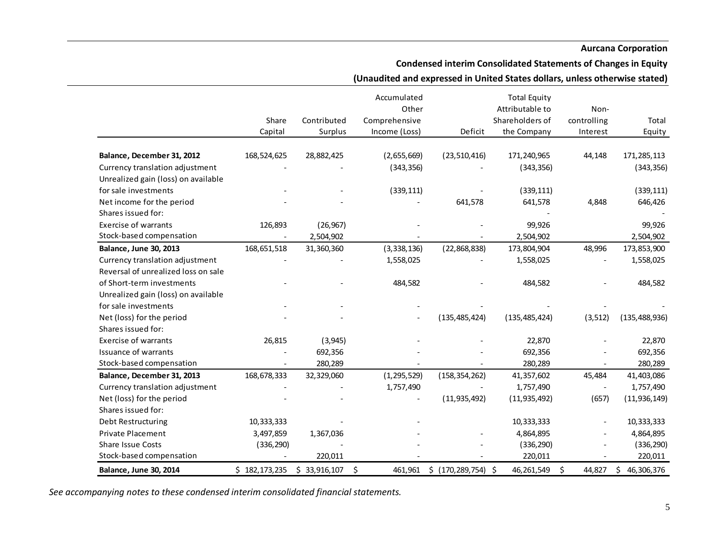# **Condensed interim Consolidated Statements of Changes in Equity**

## **(Unaudited and expressed in United States dollars, unless otherwise stated)**

|                                     |               |              | Accumulated   |                       | <b>Total Equity</b> |                          |                  |
|-------------------------------------|---------------|--------------|---------------|-----------------------|---------------------|--------------------------|------------------|
|                                     |               |              | Other         |                       | Attributable to     | Non-                     |                  |
|                                     | Share         | Contributed  | Comprehensive |                       | Shareholders of     | controlling              | Total            |
|                                     | Capital       | Surplus      | Income (Loss) | Deficit               | the Company         | Interest                 | Equity           |
|                                     |               |              |               |                       |                     |                          |                  |
| Balance, December 31, 2012          | 168,524,625   | 28,882,425   | (2,655,669)   | (23, 510, 416)        | 171,240,965         | 44,148                   | 171,285,113      |
| Currency translation adjustment     |               |              | (343, 356)    |                       | (343, 356)          |                          | (343, 356)       |
| Unrealized gain (loss) on available |               |              |               |                       |                     |                          |                  |
| for sale investments                |               |              | (339, 111)    |                       | (339, 111)          |                          | (339, 111)       |
| Net income for the period           |               |              |               | 641,578               | 641,578             | 4,848                    | 646,426          |
| Shares issued for:                  |               |              |               |                       |                     |                          |                  |
| <b>Exercise of warrants</b>         | 126,893       | (26, 967)    |               |                       | 99,926              |                          | 99,926           |
| Stock-based compensation            |               | 2,504,902    |               |                       | 2,504,902           |                          | 2,504,902        |
| <b>Balance, June 30, 2013</b>       | 168,651,518   | 31,360,360   | (3,338,136)   | (22,868,838)          | 173,804,904         | 48,996                   | 173,853,900      |
| Currency translation adjustment     |               |              | 1,558,025     |                       | 1,558,025           |                          | 1,558,025        |
| Reversal of unrealized loss on sale |               |              |               |                       |                     |                          |                  |
| of Short-term investments           |               |              | 484,582       |                       | 484,582             |                          | 484,582          |
| Unrealized gain (loss) on available |               |              |               |                       |                     |                          |                  |
| for sale investments                |               |              |               |                       |                     |                          |                  |
| Net (loss) for the period           |               |              |               | (135, 485, 424)       | (135, 485, 424)     | (3, 512)                 | (135, 488, 936)  |
| Shares issued for:                  |               |              |               |                       |                     |                          |                  |
| <b>Exercise of warrants</b>         | 26,815        | (3, 945)     |               |                       | 22,870              |                          | 22,870           |
| Issuance of warrants                |               | 692,356      |               |                       | 692,356             |                          | 692,356          |
| Stock-based compensation            |               | 280,289      |               |                       | 280,289             |                          | 280,289          |
| Balance, December 31, 2013          | 168,678,333   | 32,329,060   | (1, 295, 529) | (158, 354, 262)       | 41,357,602          | 45,484                   | 41,403,086       |
| Currency translation adjustment     |               |              | 1,757,490     |                       | 1,757,490           | $\overline{\phantom{a}}$ | 1,757,490        |
| Net (loss) for the period           |               |              |               | (11, 935, 492)        | (11, 935, 492)      | (657)                    | (11, 936, 149)   |
| Shares issued for:                  |               |              |               |                       |                     |                          |                  |
| Debt Restructuring                  | 10,333,333    |              |               |                       | 10,333,333          |                          | 10,333,333       |
| Private Placement                   | 3,497,859     | 1,367,036    |               |                       | 4,864,895           |                          | 4,864,895        |
| <b>Share Issue Costs</b>            | (336, 290)    |              |               |                       | (336, 290)          |                          | (336, 290)       |
| Stock-based compensation            |               | 220,011      |               |                       | 220,011             |                          | 220,011          |
| <b>Balance, June 30, 2014</b>       | \$182,173,235 | \$33,916,107 | \$<br>461,961 | \$ (170, 289, 754) \$ | 46,261,549          | \$<br>44,827             | \$<br>46,306,376 |

*See accompanying notes to these condensed interim consolidated financial statements.*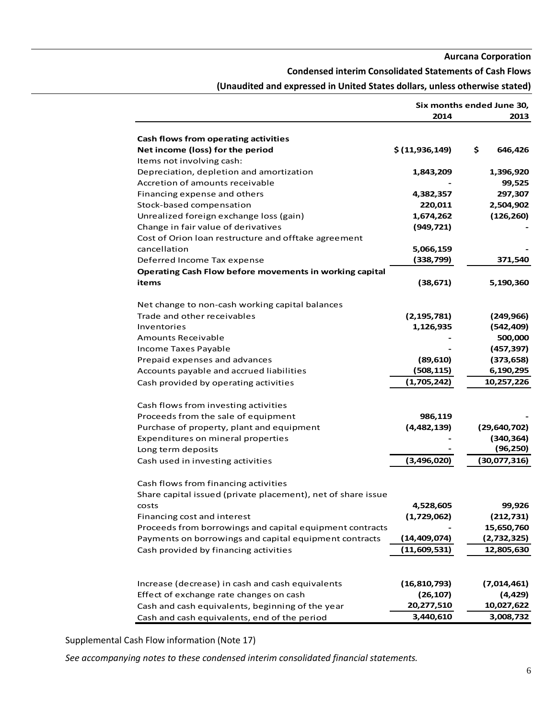#### **Condensed interim Consolidated Statements of Cash Flows**

|                                                                          | Six months ended June 30, |                |  |
|--------------------------------------------------------------------------|---------------------------|----------------|--|
|                                                                          | 2014                      | 2013           |  |
|                                                                          |                           |                |  |
| Cash flows from operating activities<br>Net income (loss) for the period | \$(11, 936, 149)          | \$<br>646,426  |  |
| Items not involving cash:                                                |                           |                |  |
| Depreciation, depletion and amortization                                 | 1,843,209                 | 1,396,920      |  |
| Accretion of amounts receivable                                          |                           | 99,525         |  |
| Financing expense and others                                             | 4,382,357                 | 297,307        |  |
| Stock-based compensation                                                 | 220,011                   | 2,504,902      |  |
| Unrealized foreign exchange loss (gain)                                  | 1,674,262                 | (126, 260)     |  |
| Change in fair value of derivatives                                      | (949, 721)                |                |  |
| Cost of Orion Ioan restructure and offtake agreement                     |                           |                |  |
| cancellation                                                             | 5,066,159                 |                |  |
| Deferred Income Tax expense                                              | (338, 799)                | 371,540        |  |
| Operating Cash Flow before movements in working capital                  |                           |                |  |
| items                                                                    | (38, 671)                 | 5,190,360      |  |
|                                                                          |                           |                |  |
| Net change to non-cash working capital balances                          |                           |                |  |
| Trade and other receivables                                              | (2, 195, 781)             | (249, 966)     |  |
| Inventories                                                              | 1,126,935                 | (542, 409)     |  |
| <b>Amounts Receivable</b>                                                |                           | 500,000        |  |
| Income Taxes Payable                                                     |                           | (457, 397)     |  |
| Prepaid expenses and advances                                            | (89, 610)                 | (373, 658)     |  |
| Accounts payable and accrued liabilities                                 | (508, 115)                | 6,190,295      |  |
| Cash provided by operating activities                                    | (1,705,242)               | 10,257,226     |  |
|                                                                          |                           |                |  |
| Cash flows from investing activities                                     |                           |                |  |
| Proceeds from the sale of equipment                                      | 986,119                   |                |  |
| Purchase of property, plant and equipment                                | (4,482,139)               | (29, 640, 702) |  |
| Expenditures on mineral properties                                       |                           | (340, 364)     |  |
| Long term deposits                                                       |                           | (96, 250)      |  |
| Cash used in investing activities                                        | (3,496,020)               | (30,077,316)   |  |
|                                                                          |                           |                |  |
| Cash flows from financing activities                                     |                           |                |  |
| Share capital issued (private placement), net of share issue             |                           |                |  |
| <b>COSTS</b>                                                             | 4,528,605                 | 99,926         |  |
| Financing cost and interest                                              | (1,729,062)               | (212, 731)     |  |
| Proceeds from borrowings and capital equipment contracts                 |                           | 15,650,760     |  |
| Payments on borrowings and capital equipment contracts                   | (14, 409, 074)            | (2,732,325)    |  |
| Cash provided by financing activities                                    | (11,609,531)              | 12,805,630     |  |
|                                                                          |                           |                |  |
| Increase (decrease) in cash and cash equivalents                         | (16, 810, 793)            | (7,014,461)    |  |
| Effect of exchange rate changes on cash                                  | (26, 107)                 | (4, 429)       |  |
| Cash and cash equivalents, beginning of the year                         | 20,277,510                | 10,027,622     |  |
| Cash and cash equivalents, end of the period                             | 3,440,610                 | 3,008,732      |  |

# **(Unaudited and expressed in United States dollars, unless otherwise stated)**

Supplemental Cash Flow information (Note 17)

*See accompanying notes to these condensed interim consolidated financial statements.*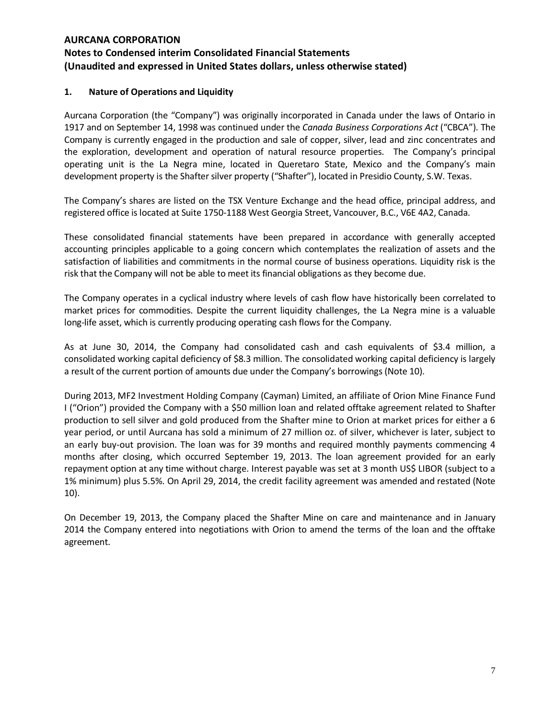## **1. Nature of Operations and Liquidity**

Aurcana Corporation (the "Company") was originally incorporated in Canada under the laws of Ontario in 1917 and on September 14, 1998 was continued under the *Canada Business Corporations Act* ("CBCA"). The Company is currently engaged in the production and sale of copper, silver, lead and zinc concentrates and the exploration, development and operation of natural resource properties. The Company's principal operating unit is the La Negra mine, located in Queretaro State, Mexico and the Company's main development property is the Shafter silver property ("Shafter"), located in Presidio County, S.W. Texas.

The Company's shares are listed on the TSX Venture Exchange and the head office, principal address, and registered office is located at Suite 1750-1188 West Georgia Street, Vancouver, B.C., V6E 4A2, Canada.

These consolidated financial statements have been prepared in accordance with generally accepted accounting principles applicable to a going concern which contemplates the realization of assets and the satisfaction of liabilities and commitments in the normal course of business operations. Liquidity risk is the risk that the Company will not be able to meet its financial obligations as they become due.

The Company operates in a cyclical industry where levels of cash flow have historically been correlated to market prices for commodities. Despite the current liquidity challenges, the La Negra mine is a valuable long-life asset, which is currently producing operating cash flows for the Company.

As at June 30, 2014, the Company had consolidated cash and cash equivalents of \$3.4 million, a consolidated working capital deficiency of \$8.3 million. The consolidated working capital deficiency is largely a result of the current portion of amounts due under the Company's borrowings (Note 10).

During 2013, MF2 Investment Holding Company (Cayman) Limited, an affiliate of Orion Mine Finance Fund I ("Orion") provided the Company with a \$50 million loan and related offtake agreement related to Shafter production to sell silver and gold produced from the Shafter mine to Orion at market prices for either a 6 year period, or until Aurcana has sold a minimum of 27 million oz. of silver, whichever is later, subject to an early buy-out provision. The loan was for 39 months and required monthly payments commencing 4 months after closing, which occurred September 19, 2013. The loan agreement provided for an early repayment option at any time without charge. Interest payable was set at 3 month US\$ LIBOR (subject to a 1% minimum) plus 5.5%. On April 29, 2014, the credit facility agreement was amended and restated (Note 10).

On December 19, 2013, the Company placed the Shafter Mine on care and maintenance and in January 2014 the Company entered into negotiations with Orion to amend the terms of the loan and the offtake agreement.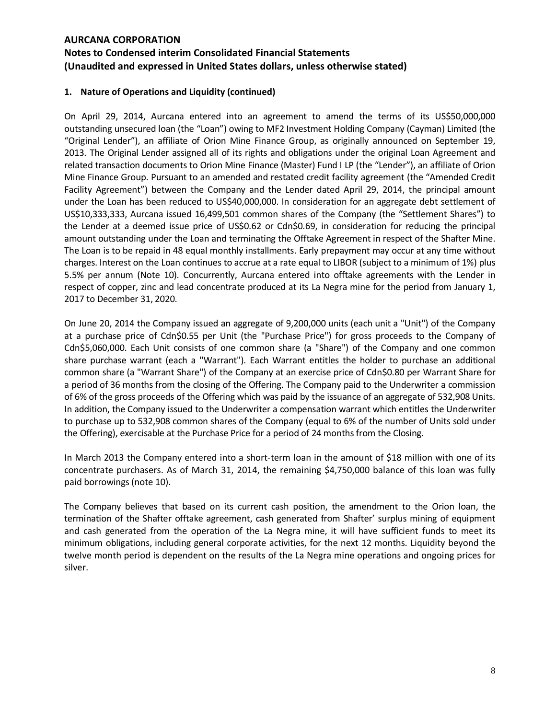# **Notes to Condensed interim Consolidated Financial Statements (Unaudited and expressed in United States dollars, unless otherwise stated)**

## **1. Nature of Operations and Liquidity (continued)**

On April 29, 2014, Aurcana entered into an agreement to amend the terms of its US\$50,000,000 outstanding unsecured loan (the "Loan") owing to MF2 Investment Holding Company (Cayman) Limited (the "Original Lender"), an affiliate of Orion Mine Finance Group, as originally announced on September 19, 2013. The Original Lender assigned all of its rights and obligations under the original Loan Agreement and related transaction documents to Orion Mine Finance (Master) Fund I LP (the "Lender"), an affiliate of Orion Mine Finance Group. Pursuant to an amended and restated credit facility agreement (the "Amended Credit Facility Agreement") between the Company and the Lender dated April 29, 2014, the principal amount under the Loan has been reduced to US\$40,000,000. In consideration for an aggregate debt settlement of US\$10,333,333, Aurcana issued 16,499,501 common shares of the Company (the "Settlement Shares") to the Lender at a deemed issue price of US\$0.62 or Cdn\$0.69, in consideration for reducing the principal amount outstanding under the Loan and terminating the Offtake Agreement in respect of the Shafter Mine. The Loan is to be repaid in 48 equal monthly installments. Early prepayment may occur at any time without charges. Interest on the Loan continues to accrue at a rate equal to LIBOR (subject to a minimum of 1%) plus 5.5% per annum (Note 10). Concurrently, Aurcana entered into offtake agreements with the Lender in respect of copper, zinc and lead concentrate produced at its La Negra mine for the period from January 1, 2017 to December 31, 2020.

On June 20, 2014 the Company issued an aggregate of 9,200,000 units (each unit a "Unit") of the Company at a purchase price of Cdn\$0.55 per Unit (the "Purchase Price") for gross proceeds to the Company of Cdn\$5,060,000. Each Unit consists of one common share (a "Share") of the Company and one common share purchase warrant (each a "Warrant"). Each Warrant entitles the holder to purchase an additional common share (a "Warrant Share") of the Company at an exercise price of Cdn\$0.80 per Warrant Share for a period of 36 months from the closing of the Offering. The Company paid to the Underwriter a commission of 6% of the gross proceeds of the Offering which was paid by the issuance of an aggregate of 532,908 Units. In addition, the Company issued to the Underwriter a compensation warrant which entitles the Underwriter to purchase up to 532,908 common shares of the Company (equal to 6% of the number of Units sold under the Offering), exercisable at the Purchase Price for a period of 24 months from the Closing.

In March 2013 the Company entered into a short-term loan in the amount of \$18 million with one of its concentrate purchasers. As of March 31, 2014, the remaining \$4,750,000 balance of this loan was fully paid borrowings (note 10).

The Company believes that based on its current cash position, the amendment to the Orion loan, the termination of the Shafter offtake agreement, cash generated from Shafter' surplus mining of equipment and cash generated from the operation of the La Negra mine, it will have sufficient funds to meet its minimum obligations, including general corporate activities, for the next 12 months. Liquidity beyond the twelve month period is dependent on the results of the La Negra mine operations and ongoing prices for silver.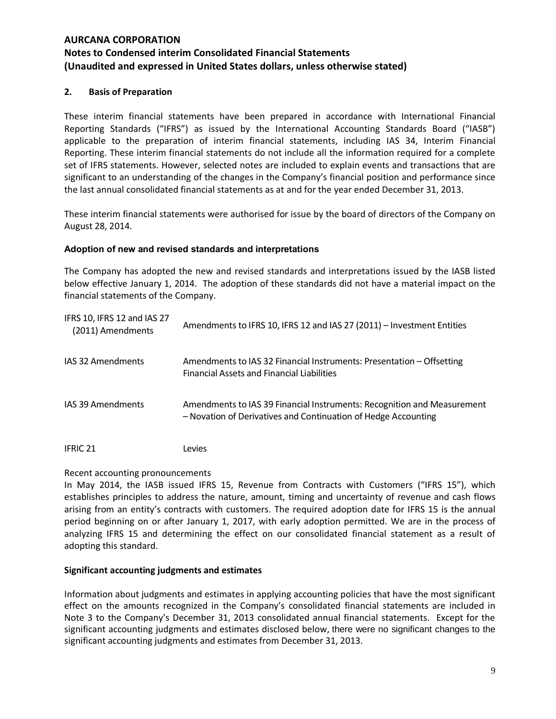## **2. Basis of Preparation**

These interim financial statements have been prepared in accordance with International Financial Reporting Standards ("IFRS") as issued by the International Accounting Standards Board ("IASB") applicable to the preparation of interim financial statements, including IAS 34, Interim Financial Reporting. These interim financial statements do not include all the information required for a complete set of IFRS statements. However, selected notes are included to explain events and transactions that are significant to an understanding of the changes in the Company's financial position and performance since the last annual consolidated financial statements as at and for the year ended December 31, 2013.

These interim financial statements were authorised for issue by the board of directors of the Company on August 28, 2014.

## **Adoption of new and revised standards and interpretations**

The Company has adopted the new and revised standards and interpretations issued by the IASB listed below effective January 1, 2014. The adoption of these standards did not have a material impact on the financial statements of the Company.

| IFRS 10, IFRS 12 and IAS 27<br>(2011) Amendments | Amendments to IFRS 10, IFRS 12 and IAS 27 (2011) - Investment Entities                                                                    |
|--------------------------------------------------|-------------------------------------------------------------------------------------------------------------------------------------------|
| IAS 32 Amendments                                | Amendments to IAS 32 Financial Instruments: Presentation - Offsetting<br><b>Financial Assets and Financial Liabilities</b>                |
| IAS 39 Amendments                                | Amendments to IAS 39 Financial Instruments: Recognition and Measurement<br>- Novation of Derivatives and Continuation of Hedge Accounting |
| <b>IFRIC 21</b>                                  | Levies                                                                                                                                    |

#### Recent accounting pronouncements

In May 2014, the IASB issued IFRS 15, Revenue from Contracts with Customers ("IFRS 15"), which establishes principles to address the nature, amount, timing and uncertainty of revenue and cash flows arising from an entity's contracts with customers. The required adoption date for IFRS 15 is the annual period beginning on or after January 1, 2017, with early adoption permitted. We are in the process of analyzing IFRS 15 and determining the effect on our consolidated financial statement as a result of adopting this standard.

#### **Significant accounting judgments and estimates**

Information about judgments and estimates in applying accounting policies that have the most significant effect on the amounts recognized in the Company's consolidated financial statements are included in Note 3 to the Company's December 31, 2013 consolidated annual financial statements. Except for the significant accounting judgments and estimates disclosed below, there were no significant changes to the significant accounting judgments and estimates from December 31, 2013.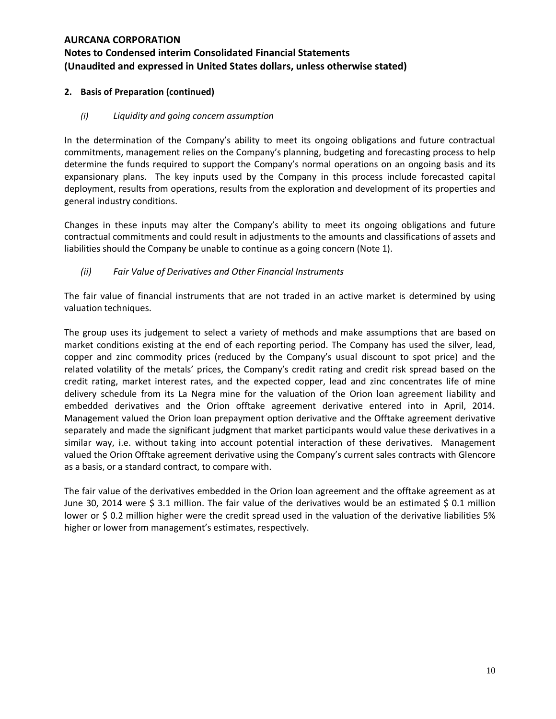## **2. Basis of Preparation (continued)**

## *(i) Liquidity and going concern assumption*

In the determination of the Company's ability to meet its ongoing obligations and future contractual commitments, management relies on the Company's planning, budgeting and forecasting process to help determine the funds required to support the Company's normal operations on an ongoing basis and its expansionary plans. The key inputs used by the Company in this process include forecasted capital deployment, results from operations, results from the exploration and development of its properties and general industry conditions.

Changes in these inputs may alter the Company's ability to meet its ongoing obligations and future contractual commitments and could result in adjustments to the amounts and classifications of assets and liabilities should the Company be unable to continue as a going concern (Note 1).

## *(ii) Fair Value of Derivatives and Other Financial Instruments*

The fair value of financial instruments that are not traded in an active market is determined by using valuation techniques.

The group uses its judgement to select a variety of methods and make assumptions that are based on market conditions existing at the end of each reporting period. The Company has used the silver, lead, copper and zinc commodity prices (reduced by the Company's usual discount to spot price) and the related volatility of the metals' prices, the Company's credit rating and credit risk spread based on the credit rating, market interest rates, and the expected copper, lead and zinc concentrates life of mine delivery schedule from its La Negra mine for the valuation of the Orion loan agreement liability and embedded derivatives and the Orion offtake agreement derivative entered into in April, 2014. Management valued the Orion loan prepayment option derivative and the Offtake agreement derivative separately and made the significant judgment that market participants would value these derivatives in a similar way, i.e. without taking into account potential interaction of these derivatives. Management valued the Orion Offtake agreement derivative using the Company's current sales contracts with Glencore as a basis, or a standard contract, to compare with.

The fair value of the derivatives embedded in the Orion loan agreement and the offtake agreement as at June 30, 2014 were \$ 3.1 million. The fair value of the derivatives would be an estimated \$ 0.1 million lower or \$ 0.2 million higher were the credit spread used in the valuation of the derivative liabilities 5% higher or lower from management's estimates, respectively.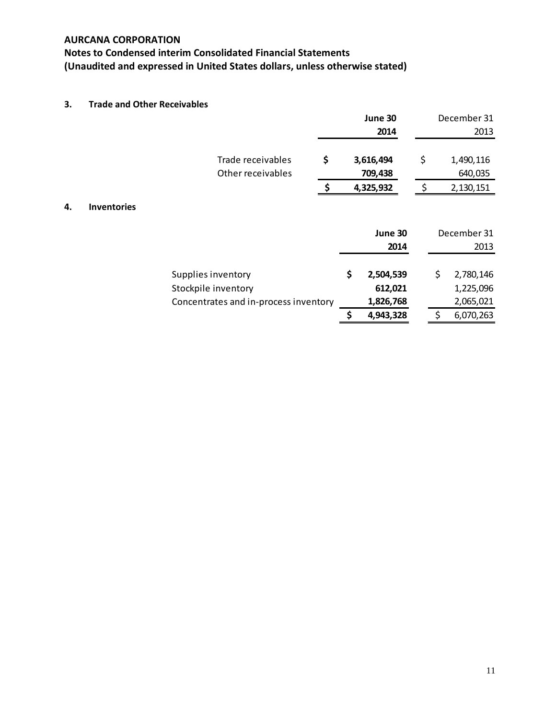# **Notes to Condensed interim Consolidated Financial Statements (Unaudited and expressed in United States dollars, unless otherwise stated)**

## **3. Trade and Other Receivables**

|    |                    |                                        |    | June 30              |     | December 31          |
|----|--------------------|----------------------------------------|----|----------------------|-----|----------------------|
|    |                    |                                        |    | 2014                 |     | 2013                 |
|    |                    | Trade receivables<br>Other receivables | \$ | 3,616,494<br>709,438 | \$  | 1,490,116<br>640,035 |
|    |                    |                                        | .S | 4,325,932            | -\$ | 2,130,151            |
| 4. | <b>Inventories</b> |                                        |    |                      |     |                      |
|    |                    |                                        |    | June 30              |     | December 31          |
|    |                    |                                        |    | 2014                 |     | 2013                 |
|    |                    | Supplies inventory                     |    | \$<br>2,504,539      |     | \$<br>2,780,146      |
|    |                    | Stockpile inventory                    |    | 612,021              |     | 1,225,096            |
|    |                    | Concentrates and in-process inventory  |    | 1,826,768            |     | 2,065,021            |
|    |                    |                                        |    | \$<br>4,943,328      |     | \$<br>6,070,263      |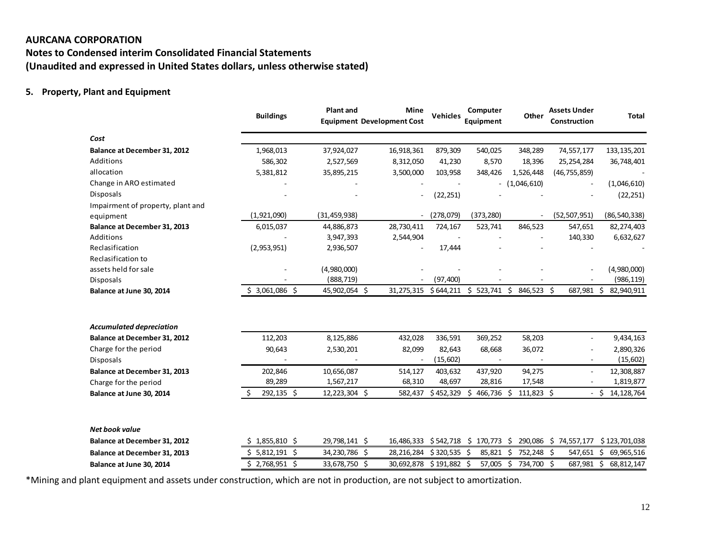# **Notes to Condensed interim Consolidated Financial Statements (Unaudited and expressed in United States dollars, unless otherwise stated)**

## **5. Property, Plant and Equipment**

|                                       | <b>Buildings</b> | <b>Plant and</b>            | Mine<br><b>Equipment Development Cost</b> | Computer<br><b>Vehicles</b><br>Equipment |                  | Other         | <b>Assets Under</b><br>Construction | <b>Total</b>             |
|---------------------------------------|------------------|-----------------------------|-------------------------------------------|------------------------------------------|------------------|---------------|-------------------------------------|--------------------------|
| Cost                                  |                  |                             |                                           |                                          |                  |               |                                     |                          |
| Balance at December 31, 2012          | 1,968,013        | 37,924,027                  | 16,918,361                                | 879,309                                  | 540,025          | 348,289       | 74,557,177                          | 133, 135, 201            |
| Additions                             | 586,302          | 2,527,569                   | 8,312,050                                 | 41,230                                   | 8,570            | 18,396        | 25,254,284                          | 36,748,401               |
| allocation                            | 5,381,812        | 35,895,215                  | 3,500,000                                 | 103,958                                  | 348,426          | 1,526,448     | (46, 755, 859)                      |                          |
| Change in ARO estimated               |                  |                             |                                           |                                          |                  | (1,046,610)   |                                     | (1,046,610)              |
| <b>Disposals</b>                      |                  |                             | ÷,                                        | (22, 251)                                |                  |               |                                     | (22, 251)                |
| Impairment of property, plant and     |                  |                             |                                           |                                          |                  |               |                                     |                          |
| equipment                             | (1,921,090)      | (31, 459, 938)              | $\overline{\phantom{a}}$                  | (278, 079)                               | (373, 280)       |               | (52, 507, 951)                      | (86, 540, 338)           |
| Balance at December 31, 2013          | 6,015,037        | 44,886,873                  | 28,730,411                                | 724,167                                  | 523,741          | 846,523       | 547,651                             | 82,274,403               |
| Additions                             |                  | 3,947,393                   | 2,544,904                                 |                                          |                  |               | 140,330                             | 6,632,627                |
| Reclasification                       | (2,953,951)      | 2,936,507                   |                                           | 17,444                                   |                  |               |                                     |                          |
| Reclasification to                    |                  |                             |                                           |                                          |                  |               |                                     |                          |
| assets held for sale                  |                  | (4,980,000)                 |                                           |                                          |                  |               |                                     | (4,980,000)              |
| Disposals<br>Balance at June 30, 2014 | $$3,061,086$ \$  | (888, 719)<br>45,902,054 \$ | 31,275,315                                | (97, 400)<br>\$644,211                   | $$523,741$ \$    | 846,523 \$    | 687,981 \$                          | (986, 119)<br>82,940,911 |
|                                       |                  |                             |                                           |                                          |                  |               |                                     |                          |
| <b>Accumulated depreciation</b>       |                  |                             |                                           |                                          |                  |               |                                     |                          |
| <b>Balance at December 31, 2012</b>   | 112,203          | 8,125,886                   | 432,028                                   | 336,591                                  | 369,252          | 58,203        | $\overline{a}$                      | 9,434,163                |
| Charge for the period                 | 90,643           | 2,530,201                   | 82,099                                    | 82,643                                   | 68,668           | 36,072        |                                     | 2,890,326                |
| <b>Disposals</b>                      |                  |                             |                                           | (15, 602)                                |                  |               |                                     | (15,602)                 |
| <b>Balance at December 31, 2013</b>   | 202,846          | 10,656,087                  | 514,127                                   | 403,632                                  | 437,920          | 94,275        | $\overline{\phantom{0}}$            | 12,308,887               |
| Charge for the period                 | 89,289           | 1,567,217                   | 68,310                                    | 48,697                                   | 28,816           | 17,548        |                                     | 1,819,877                |
| Balance at June 30, 2014              | 292,135 \$       | 12,223,304 \$               | 582,437                                   | \$452,329                                | 466,736 \$<br>Ś. | 111,823 \$    |                                     | Ŝ.<br>14, 128, 764       |
| Net book value                        |                  |                             |                                           |                                          |                  |               |                                     |                          |
| <b>Balance at December 31, 2012</b>   | $$1,855,810$ \$  | 29,798,141 \$               | 16,486,333                                | \$542,718                                | $$170,773$ \$    | 290,086 \$    | 74,557,177                          | \$123,701,038            |
| Balance at December 31, 2013          | $$5,812,191$ \$  | 34,230,786                  | Ŝ.<br>28,216,284                          | $$320,535$ \$                            | 85,821           | 752,248<br>Ŝ. | -Ś<br>547,651 \$                    | 69,965,516               |
| Balance at June 30, 2014              | $$2,768,951$ \$  | 33,678,750 \$               | 30,692,878                                | $$191,882$ \$                            | 57,005 \$        | 734,700 \$    | 687,981                             | \$<br>68,812,147         |

\*Mining and plant equipment and assets under construction, which are not in production, are not subject to amortization.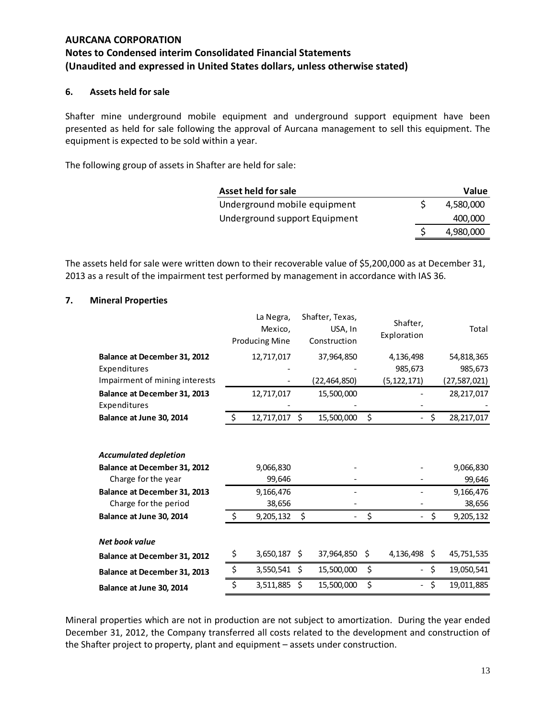## **6. Assets held for sale**

Shafter mine underground mobile equipment and underground support equipment have been presented as held for sale following the approval of Aurcana management to sell this equipment. The equipment is expected to be sold within a year.

The following group of assets in Shafter are held for sale:

| Asset held for sale           | Value     |
|-------------------------------|-----------|
| Underground mobile equipment  | 4.580.000 |
| Underground support Equipment | 400,000   |
|                               | 4,980,000 |

The assets held for sale were written down to their recoverable value of \$5,200,000 as at December 31, 2013 as a result of the impairment test performed by management in accordance with IAS 36.

#### **7. Mineral Properties**

|                                                                                     | La Negra,<br>Mexico,<br><b>Producing Mine</b> |    | Shafter, Texas,<br>USA, In<br>Construction | Shafter,<br>Exploration | Total               |
|-------------------------------------------------------------------------------------|-----------------------------------------------|----|--------------------------------------------|-------------------------|---------------------|
| Balance at December 31, 2012                                                        | 12,717,017                                    |    | 37,964,850                                 | 4,136,498               | 54,818,365          |
| Expenditures                                                                        |                                               |    |                                            | 985,673                 | 985,673             |
| Impairment of mining interests                                                      |                                               |    | (22,464,850)                               | (5, 122, 171)           | (27,587,021)        |
| Balance at December 31, 2013                                                        | 12,717,017                                    |    | 15,500,000                                 |                         | 28,217,017          |
| Expenditures                                                                        |                                               |    |                                            |                         |                     |
| Balance at June 30, 2014                                                            | \$<br>12,717,017 \$                           |    | 15,500,000                                 | \$<br>$\sim$            | \$<br>28,217,017    |
| <b>Accumulated depletion</b><br>Balance at December 31, 2012<br>Charge for the year | 9,066,830<br>99,646                           |    |                                            |                         | 9,066,830<br>99,646 |
| Balance at December 31, 2013                                                        | 9,166,476                                     |    |                                            |                         | 9,166,476           |
| Charge for the period                                                               | 38,656                                        |    |                                            |                         | 38,656              |
| Balance at June 30, 2014                                                            | \$<br>9,205,132                               | \$ |                                            | \$                      | \$<br>9,205,132     |
| Net book value                                                                      |                                               |    |                                            |                         |                     |
| Balance at December 31, 2012                                                        | \$<br>3,650,187                               | S  | 37,964,850                                 | \$<br>4,136,498 \$      | 45,751,535          |
| Balance at December 31, 2013                                                        | \$<br>3,550,541                               | Ŝ. | 15,500,000                                 | \$                      | \$<br>19,050,541    |
| Balance at June 30, 2014                                                            | \$<br>3,511,885                               | Ś  | 15,500,000                                 | \$                      | \$<br>19,011,885    |

Mineral properties which are not in production are not subject to amortization. During the year ended December 31, 2012, the Company transferred all costs related to the development and construction of the Shafter project to property, plant and equipment – assets under construction.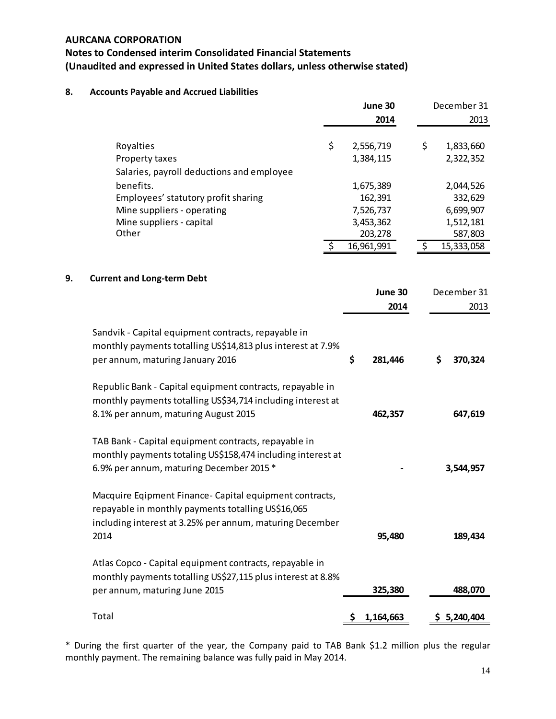# **Notes to Condensed interim Consolidated Financial Statements (Unaudited and expressed in United States dollars, unless otherwise stated)**

# **8. Accounts Payable and Accrued Liabilities**

|    |                                                                                                                                                                                   |     | June 30                | December 31                  |
|----|-----------------------------------------------------------------------------------------------------------------------------------------------------------------------------------|-----|------------------------|------------------------------|
|    |                                                                                                                                                                                   |     | 2014                   | 2013                         |
|    | \$<br>Royalties<br>Property taxes                                                                                                                                                 |     | 2,556,719<br>1,384,115 | \$<br>1,833,660<br>2,322,352 |
|    | Salaries, payroll deductions and employee<br>benefits.                                                                                                                            |     | 1,675,389              | 2,044,526                    |
|    | Employees' statutory profit sharing                                                                                                                                               |     | 162,391                | 332,629                      |
|    | Mine suppliers - operating                                                                                                                                                        |     | 7,526,737              | 6,699,907                    |
|    | Mine suppliers - capital                                                                                                                                                          |     | 3,453,362              | 1,512,181                    |
|    | Other                                                                                                                                                                             |     | 203,278                | 587,803                      |
|    | Ś.                                                                                                                                                                                |     | 16,961,991             | \$<br>15,333,058             |
|    |                                                                                                                                                                                   |     |                        |                              |
| 9. | <b>Current and Long-term Debt</b>                                                                                                                                                 |     |                        |                              |
|    |                                                                                                                                                                                   |     | June 30                | December 31                  |
|    |                                                                                                                                                                                   |     | 2014                   | 2013                         |
|    | Sandvik - Capital equipment contracts, repayable in<br>monthly payments totalling US\$14,813 plus interest at 7.9%<br>per annum, maturing January 2016                            | \$  | 281,446                | 370,324<br>\$                |
|    | Republic Bank - Capital equipment contracts, repayable in<br>monthly payments totalling US\$34,714 including interest at<br>8.1% per annum, maturing August 2015                  |     | 462,357                | 647,619                      |
|    | TAB Bank - Capital equipment contracts, repayable in<br>monthly payments totaling US\$158,474 including interest at<br>6.9% per annum, maturing December 2015 *                   |     |                        | 3,544,957                    |
|    | Macquire Eqipment Finance- Capital equipment contracts,<br>repayable in monthly payments totalling US\$16,065<br>including interest at 3.25% per annum, maturing December<br>2014 |     | 95,480                 | 189,434                      |
|    | Atlas Copco - Capital equipment contracts, repayable in<br>monthly payments totalling US\$27,115 plus interest at 8.8%<br>per annum, maturing June 2015                           |     | 325,380                | 488,070                      |
|    | Total                                                                                                                                                                             | \$. | 1,164,663              | \$5,240,404                  |

\* During the first quarter of the year, the Company paid to TAB Bank \$1.2 million plus the regular monthly payment. The remaining balance was fully paid in May 2014.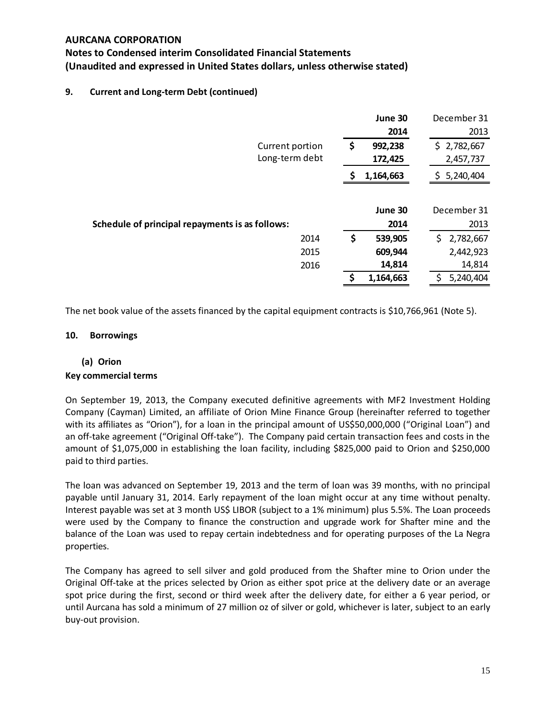# **Notes to Condensed interim Consolidated Financial Statements (Unaudited and expressed in United States dollars, unless otherwise stated)**

## **9. Current and Long-term Debt (continued)**

|                                                 | June 30        | December 31      |
|-------------------------------------------------|----------------|------------------|
|                                                 | 2014           | 2013             |
| Current portion                                 | \$<br>992,238  | \$2,782,667      |
| Long-term debt                                  | 172,425        | 2,457,737        |
|                                                 | 1,164,663<br>S | 5,240,404<br>\$. |
|                                                 |                |                  |
|                                                 | June 30        | December 31      |
| Schedule of principal repayments is as follows: | 2014           | 2013             |
| 2014                                            | \$<br>539,905  | \$.<br>2,782,667 |
| 2015                                            | 609,944        | 2,442,923        |
| 2016                                            | 14,814         | 14,814           |
|                                                 | 1,164,663      | 5,240,404        |

The net book value of the assets financed by the capital equipment contracts is \$10,766,961 (Note 5).

#### **10. Borrowings**

# **(a) Orion**

#### **Key commercial terms**

On September 19, 2013, the Company executed definitive agreements with MF2 Investment Holding Company (Cayman) Limited, an affiliate of Orion Mine Finance Group (hereinafter referred to together with its affiliates as "Orion"), for a loan in the principal amount of US\$50,000,000 ("Original Loan") and an off-take agreement ("Original Off-take"). The Company paid certain transaction fees and costs in the amount of \$1,075,000 in establishing the loan facility, including \$825,000 paid to Orion and \$250,000 paid to third parties.

The loan was advanced on September 19, 2013 and the term of loan was 39 months, with no principal payable until January 31, 2014. Early repayment of the loan might occur at any time without penalty. Interest payable was set at 3 month US\$ LIBOR (subject to a 1% minimum) plus 5.5%. The Loan proceeds were used by the Company to finance the construction and upgrade work for Shafter mine and the balance of the Loan was used to repay certain indebtedness and for operating purposes of the La Negra properties.

The Company has agreed to sell silver and gold produced from the Shafter mine to Orion under the Original Off-take at the prices selected by Orion as either spot price at the delivery date or an average spot price during the first, second or third week after the delivery date, for either a 6 year period, or until Aurcana has sold a minimum of 27 million oz of silver or gold, whichever is later, subject to an early buy-out provision.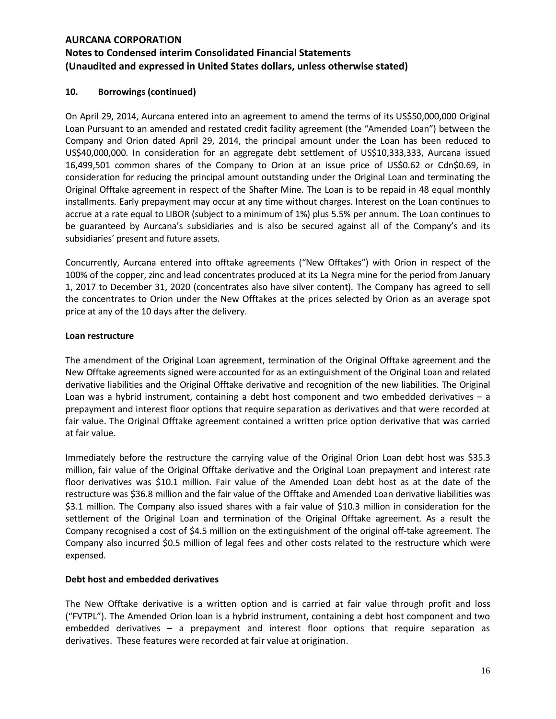## **10. Borrowings (continued)**

On April 29, 2014, Aurcana entered into an agreement to amend the terms of its US\$50,000,000 Original Loan Pursuant to an amended and restated credit facility agreement (the "Amended Loan") between the Company and Orion dated April 29, 2014, the principal amount under the Loan has been reduced to US\$40,000,000. In consideration for an aggregate debt settlement of US\$10,333,333, Aurcana issued 16,499,501 common shares of the Company to Orion at an issue price of US\$0.62 or Cdn\$0.69, in consideration for reducing the principal amount outstanding under the Original Loan and terminating the Original Offtake agreement in respect of the Shafter Mine. The Loan is to be repaid in 48 equal monthly installments. Early prepayment may occur at any time without charges. Interest on the Loan continues to accrue at a rate equal to LIBOR (subject to a minimum of 1%) plus 5.5% per annum. The Loan continues to be guaranteed by Aurcana's subsidiaries and is also be secured against all of the Company's and its subsidiaries' present and future assets.

Concurrently, Aurcana entered into offtake agreements ("New Offtakes") with Orion in respect of the 100% of the copper, zinc and lead concentrates produced at its La Negra mine for the period from January 1, 2017 to December 31, 2020 (concentrates also have silver content). The Company has agreed to sell the concentrates to Orion under the New Offtakes at the prices selected by Orion as an average spot price at any of the 10 days after the delivery.

#### **Loan restructure**

The amendment of the Original Loan agreement, termination of the Original Offtake agreement and the New Offtake agreements signed were accounted for as an extinguishment of the Original Loan and related derivative liabilities and the Original Offtake derivative and recognition of the new liabilities. The Original Loan was a hybrid instrument, containing a debt host component and two embedded derivatives – a prepayment and interest floor options that require separation as derivatives and that were recorded at fair value. The Original Offtake agreement contained a written price option derivative that was carried at fair value.

Immediately before the restructure the carrying value of the Original Orion Loan debt host was \$35.3 million, fair value of the Original Offtake derivative and the Original Loan prepayment and interest rate floor derivatives was \$10.1 million. Fair value of the Amended Loan debt host as at the date of the restructure was \$36.8 million and the fair value of the Offtake and Amended Loan derivative liabilities was \$3.1 million. The Company also issued shares with a fair value of \$10.3 million in consideration for the settlement of the Original Loan and termination of the Original Offtake agreement. As a result the Company recognised a cost of \$4.5 million on the extinguishment of the original off-take agreement. The Company also incurred \$0.5 million of legal fees and other costs related to the restructure which were expensed.

#### **Debt host and embedded derivatives**

The New Offtake derivative is a written option and is carried at fair value through profit and loss ("FVTPL"). The Amended Orion loan is a hybrid instrument, containing a debt host component and two embedded derivatives – a prepayment and interest floor options that require separation as derivatives. These features were recorded at fair value at origination.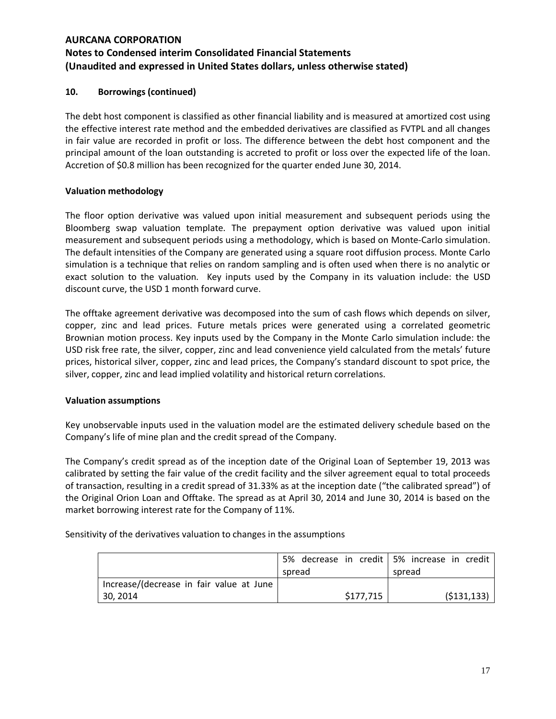## **10. Borrowings (continued)**

The debt host component is classified as other financial liability and is measured at amortized cost using the effective interest rate method and the embedded derivatives are classified as FVTPL and all changes in fair value are recorded in profit or loss. The difference between the debt host component and the principal amount of the loan outstanding is accreted to profit or loss over the expected life of the loan. Accretion of \$0.8 million has been recognized for the quarter ended June 30, 2014.

#### **Valuation methodology**

The floor option derivative was valued upon initial measurement and subsequent periods using the Bloomberg swap valuation template. The prepayment option derivative was valued upon initial measurement and subsequent periods using a methodology, which is based on Monte-Carlo simulation. The default intensities of the Company are generated using a square root diffusion process. Monte Carlo simulation is a technique that relies on random sampling and is often used when there is no analytic or exact solution to the valuation. Key inputs used by the Company in its valuation include: the USD discount curve, the USD 1 month forward curve.

The offtake agreement derivative was decomposed into the sum of cash flows which depends on silver, copper, zinc and lead prices. Future metals prices were generated using a correlated geometric Brownian motion process. Key inputs used by the Company in the Monte Carlo simulation include: the USD risk free rate, the silver, copper, zinc and lead convenience yield calculated from the metals' future prices, historical silver, copper, zinc and lead prices, the Company's standard discount to spot price, the silver, copper, zinc and lead implied volatility and historical return correlations.

#### **Valuation assumptions**

Key unobservable inputs used in the valuation model are the estimated delivery schedule based on the Company's life of mine plan and the credit spread of the Company.

The Company's credit spread as of the inception date of the Original Loan of September 19, 2013 was calibrated by setting the fair value of the credit facility and the silver agreement equal to total proceeds of transaction, resulting in a credit spread of 31.33% as at the inception date ("the calibrated spread") of the Original Orion Loan and Offtake. The spread as at April 30, 2014 and June 30, 2014 is based on the market borrowing interest rate for the Company of 11%.

Sensitivity of the derivatives valuation to changes in the assumptions

|                                          | 5% decrease in credit 5% increase in credit |               |
|------------------------------------------|---------------------------------------------|---------------|
|                                          | spread                                      | spread        |
| Increase/(decrease in fair value at June |                                             |               |
| 30, 2014                                 | \$177,715                                   | ( \$131, 133) |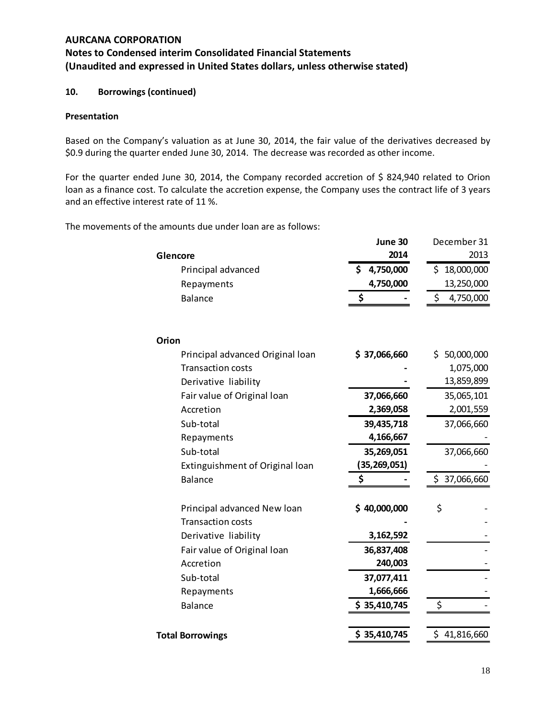## **10. Borrowings (continued)**

#### **Presentation**

Based on the Company's valuation as at June 30, 2014, the fair value of the derivatives decreased by \$0.9 during the quarter ended June 30, 2014. The decrease was recorded as other income.

For the quarter ended June 30, 2014, the Company recorded accretion of \$ 824,940 related to Orion loan as a finance cost. To calculate the accretion expense, the Company uses the contract life of 3 years and an effective interest rate of 11 %.

The movements of the amounts due under loan are as follows:

|                                  | June 30          | December 31     |
|----------------------------------|------------------|-----------------|
| Glencore                         | 2014             | 2013            |
| Principal advanced               | 4,750,000<br>\$. | \$18,000,000    |
| Repayments                       | 4,750,000        | 13,250,000      |
| Balance                          | \$               | \$<br>4,750,000 |
|                                  |                  |                 |
| Orion                            |                  |                 |
| Principal advanced Original Ioan | \$37,066,660     | \$50,000,000    |
| <b>Transaction costs</b>         |                  | 1,075,000       |
| Derivative liability             |                  | 13,859,899      |
| Fair value of Original loan      | 37,066,660       | 35,065,101      |
| Accretion                        | 2,369,058        | 2,001,559       |
| Sub-total                        | 39,435,718       | 37,066,660      |
| Repayments                       | 4,166,667        |                 |
| Sub-total                        | 35,269,051       | 37,066,660      |
| Extinguishment of Original loan  | (35,269,051)     |                 |
| <b>Balance</b>                   | \$               | \$37,066,660    |
| Principal advanced New Ioan      | \$40,000,000     | \$              |
| <b>Transaction costs</b>         |                  |                 |
| Derivative liability             | 3,162,592        |                 |
| Fair value of Original loan      | 36,837,408       |                 |
| Accretion                        | 240,003          |                 |
| Sub-total                        | 37,077,411       |                 |
| Repayments                       | 1,666,666        |                 |
| <b>Balance</b>                   | \$35,410,745     | \$              |
| <b>Total Borrowings</b>          | \$35,410,745     | \$41,816,660    |
|                                  |                  |                 |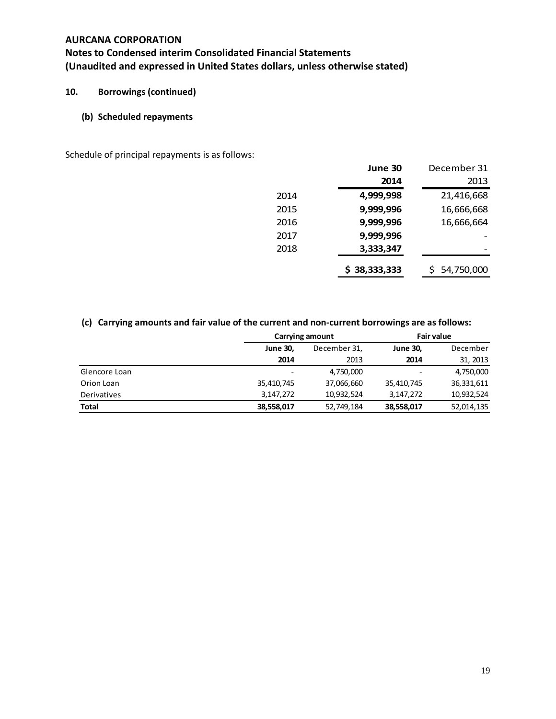# **Notes to Condensed interim Consolidated Financial Statements (Unaudited and expressed in United States dollars, unless otherwise stated)**

# **10. Borrowings (continued)**

## **(b) Scheduled repayments**

Schedule of principal repayments is as follows:

|      | June 30      | December 31  |
|------|--------------|--------------|
|      | 2014         | 2013         |
| 2014 | 4,999,998    | 21,416,668   |
| 2015 | 9,999,996    | 16,666,668   |
| 2016 | 9,999,996    | 16,666,664   |
| 2017 | 9,999,996    |              |
| 2018 | 3,333,347    |              |
|      | \$38,333,333 | \$54,750,000 |

# **(c) Carrying amounts and fair value of the current and non-current borrowings are as follows:**

|                    |                 | Carrying amount |                          | <b>Fair value</b> |  |
|--------------------|-----------------|-----------------|--------------------------|-------------------|--|
|                    | <b>June 30,</b> | December 31,    | <b>June 30,</b>          | December          |  |
|                    | 2014            | 2013            | 2014                     | 31, 2013          |  |
| Glencore Loan      |                 | 4,750,000       | $\overline{\phantom{0}}$ | 4,750,000         |  |
| Orion Loan         | 35,410,745      | 37,066,660      | 35,410,745               | 36,331,611        |  |
| <b>Derivatives</b> | 3,147,272       | 10,932,524      | 3, 147, 272              | 10,932,524        |  |
| <b>Total</b>       | 38,558,017      | 52,749,184      | 38,558,017               | 52,014,135        |  |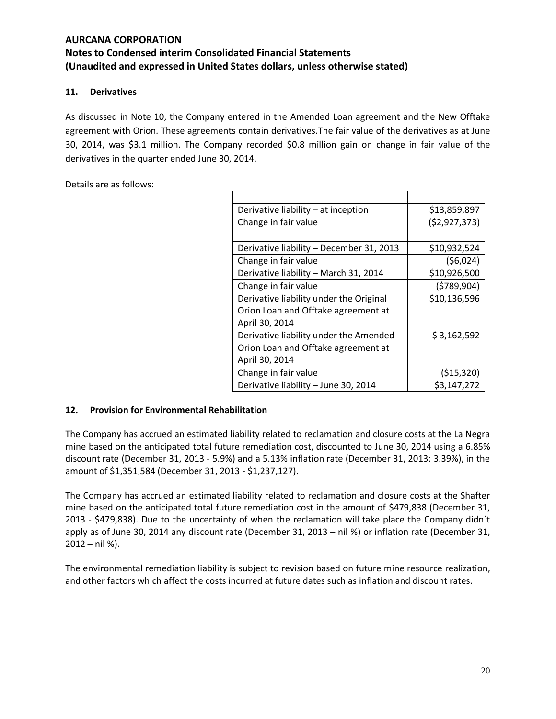# **11. Derivatives**

As discussed in Note 10, the Company entered in the Amended Loan agreement and the New Offtake agreement with Orion. These agreements contain derivatives.The fair value of the derivatives as at June 30, 2014, was \$3.1 million. The Company recorded \$0.8 million gain on change in fair value of the derivatives in the quarter ended June 30, 2014.

Details are as follows:

| Derivative liability - at inception      | \$13,859,897   |
|------------------------------------------|----------------|
| Change in fair value                     | (52, 927, 373) |
|                                          |                |
| Derivative liability - December 31, 2013 | \$10,932,524   |
| Change in fair value                     | (56,024)       |
| Derivative liability - March 31, 2014    | \$10,926,500   |
| Change in fair value                     | (5789, 904)    |
| Derivative liability under the Original  | \$10,136,596   |
| Orion Loan and Offtake agreement at      |                |
| April 30, 2014                           |                |
| Derivative liability under the Amended   | \$3,162,592    |
| Orion Loan and Offtake agreement at      |                |
| April 30, 2014                           |                |
| Change in fair value                     | (515, 320)     |
| Derivative liability - June 30, 2014     | \$3,147,272    |

## **12. Provision for Environmental Rehabilitation**

The Company has accrued an estimated liability related to reclamation and closure costs at the La Negra mine based on the anticipated total future remediation cost, discounted to June 30, 2014 using a 6.85% discount rate (December 31, 2013 - 5.9%) and a 5.13% inflation rate (December 31, 2013: 3.39%), in the amount of \$1,351,584 (December 31, 2013 - \$1,237,127).

The Company has accrued an estimated liability related to reclamation and closure costs at the Shafter mine based on the anticipated total future remediation cost in the amount of \$479,838 (December 31, 2013 - \$479,838). Due to the uncertainty of when the reclamation will take place the Company didn´t apply as of June 30, 2014 any discount rate (December 31, 2013 – nil %) or inflation rate (December 31, 2012 – nil %).

The environmental remediation liability is subject to revision based on future mine resource realization, and other factors which affect the costs incurred at future dates such as inflation and discount rates.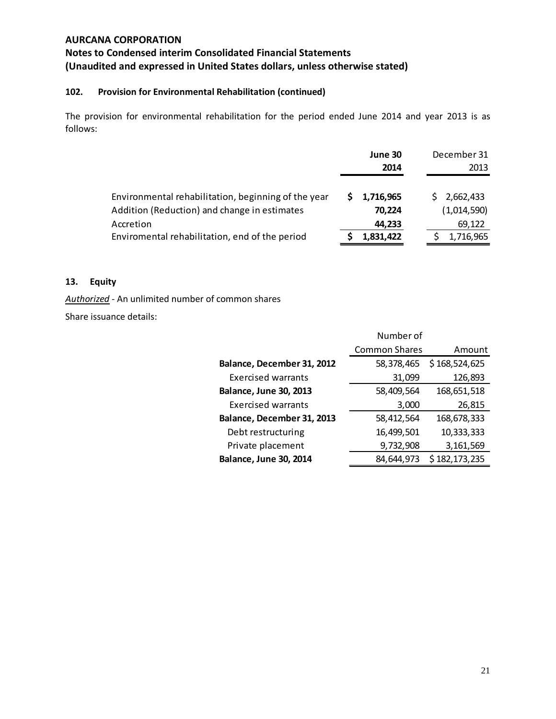# **Notes to Condensed interim Consolidated Financial Statements (Unaudited and expressed in United States dollars, unless otherwise stated)**

# **102. Provision for Environmental Rehabilitation (continued)**

The provision for environmental rehabilitation for the period ended June 2014 and year 2013 is as follows:

|                                                     | June 30<br>2014 | December 31<br>2013 |
|-----------------------------------------------------|-----------------|---------------------|
| Environmental rehabilitation, beginning of the year | 1,716,965       | \$2,662,433         |
| Addition (Reduction) and change in estimates        | 70.224          | (1,014,590)         |
| Accretion                                           | 44,233          | 69,122              |
| Enviromental rehabilitation, end of the period      | 1,831,422       | 1,716,965           |

#### **13. Equity**

*Authorized* - An unlimited number of common shares

Share issuance details:

|                               | Number of            |               |
|-------------------------------|----------------------|---------------|
|                               | <b>Common Shares</b> | Amount        |
| Balance, December 31, 2012    | 58,378,465           | \$168,524,625 |
| <b>Exercised warrants</b>     | 31,099               | 126,893       |
| <b>Balance, June 30, 2013</b> | 58,409,564           | 168,651,518   |
| Exercised warrants            | 3,000                | 26,815        |
| Balance, December 31, 2013    | 58,412,564           | 168,678,333   |
| Debt restructuring            | 16,499,501           | 10,333,333    |
| Private placement             | 9,732,908            | 3,161,569     |
| <b>Balance, June 30, 2014</b> | 84,644,973           | \$182,173,235 |
|                               |                      |               |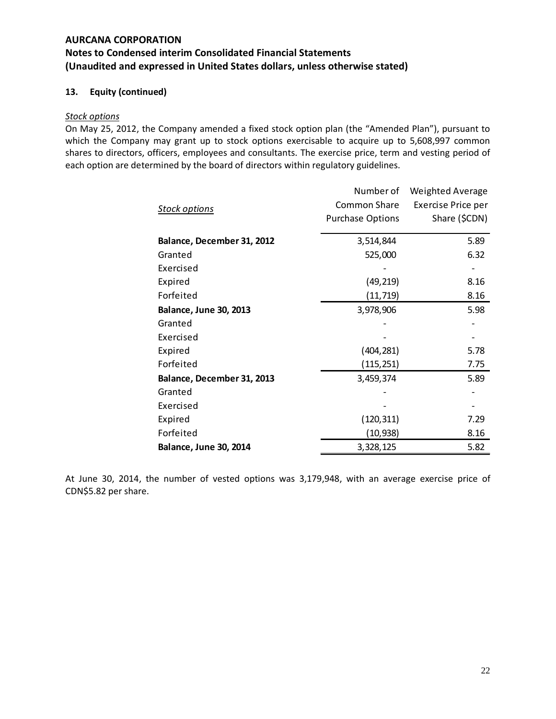## **13. Equity (continued)**

#### *Stock options*

On May 25, 2012, the Company amended a fixed stock option plan (the "Amended Plan"), pursuant to which the Company may grant up to stock options exercisable to acquire up to 5,608,997 common shares to directors, officers, employees and consultants. The exercise price, term and vesting period of each option are determined by the board of directors within regulatory guidelines.

|                               | Number of               | <b>Weighted Average</b> |
|-------------------------------|-------------------------|-------------------------|
| <b>Stock options</b>          | <b>Common Share</b>     | Exercise Price per      |
|                               | <b>Purchase Options</b> | Share (\$CDN)           |
| Balance, December 31, 2012    | 3,514,844               | 5.89                    |
| Granted                       | 525,000                 | 6.32                    |
| Exercised                     |                         |                         |
| Expired                       | (49, 219)               | 8.16                    |
| Forfeited                     | (11, 719)               | 8.16                    |
| <b>Balance, June 30, 2013</b> | 3,978,906               | 5.98                    |
| Granted                       |                         |                         |
| Exercised                     |                         |                         |
| Expired                       | (404, 281)              | 5.78                    |
| Forfeited                     | (115, 251)              | 7.75                    |
| Balance, December 31, 2013    | 3,459,374               | 5.89                    |
| Granted                       |                         |                         |
| Exercised                     |                         |                         |
| Expired                       | (120, 311)              | 7.29                    |
| Forfeited                     | (10,938)                | 8.16                    |
| <b>Balance, June 30, 2014</b> | 3,328,125               | 5.82                    |

At June 30, 2014, the number of vested options was 3,179,948, with an average exercise price of CDN\$5.82 per share.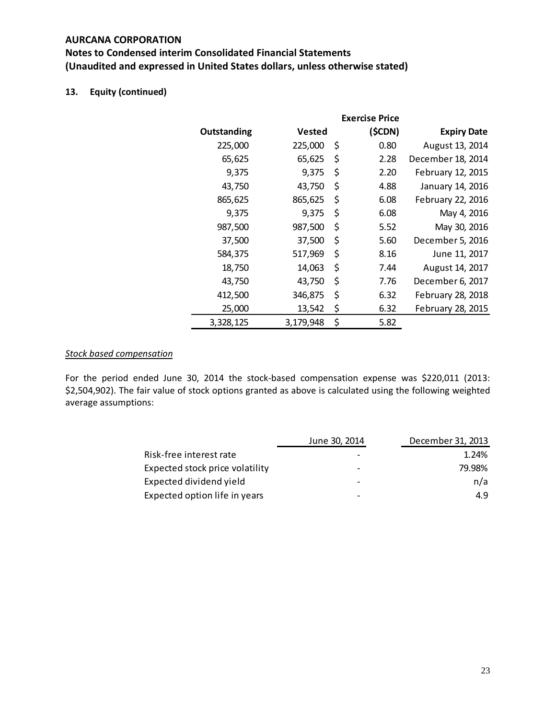# **Notes to Condensed interim Consolidated Financial Statements (Unaudited and expressed in United States dollars, unless otherwise stated)**

# **13. Equity (continued)**

|             |               | <b>Exercise Price</b> |                    |
|-------------|---------------|-----------------------|--------------------|
| Outstanding | <b>Vested</b> | (\$CDN)               | <b>Expiry Date</b> |
| 225,000     | 225,000       | \$<br>0.80            | August 13, 2014    |
| 65,625      | 65,625        | \$<br>2.28            | December 18, 2014  |
| 9,375       | 9,375         | \$<br>2.20            | February 12, 2015  |
| 43,750      | 43,750        | \$<br>4.88            | January 14, 2016   |
| 865,625     | 865,625       | \$<br>6.08            | February 22, 2016  |
| 9,375       | 9,375         | \$<br>6.08            | May 4, 2016        |
| 987,500     | 987,500       | \$<br>5.52            | May 30, 2016       |
| 37,500      | 37,500        | \$<br>5.60            | December 5, 2016   |
| 584,375     | 517,969       | \$<br>8.16            | June 11, 2017      |
| 18,750      | 14,063        | \$<br>7.44            | August 14, 2017    |
| 43,750      | 43,750        | \$<br>7.76            | December 6, 2017   |
| 412,500     | 346,875       | \$<br>6.32            | February 28, 2018  |
| 25,000      | 13,542        | \$<br>6.32            | February 28, 2015  |
| 3,328,125   | 3,179,948     | \$<br>5.82            |                    |

## *Stock based compensation*

For the period ended June 30, 2014 the stock-based compensation expense was \$220,011 (2013: \$2,504,902). The fair value of stock options granted as above is calculated using the following weighted average assumptions:

|                                 | June 30, 2014            | December 31, 2013 |
|---------------------------------|--------------------------|-------------------|
| Risk-free interest rate         |                          | 1.24%             |
| Expected stock price volatility | $\overline{\phantom{0}}$ | 79.98%            |
| Expected dividend yield         |                          | n/a               |
| Expected option life in years   | -                        | 4.9               |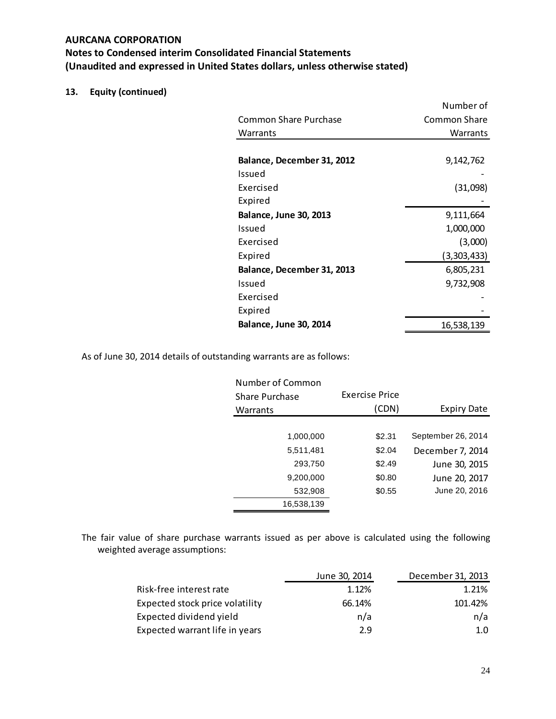# **13. Equity (continued)**

|                               | Number of    |
|-------------------------------|--------------|
| Common Share Purchase         | Common Share |
| Warrants                      | Warrants     |
|                               |              |
| Balance, December 31, 2012    | 9,142,762    |
| Issued                        |              |
| Fxercised                     | (31,098)     |
| Expired                       |              |
| <b>Balance, June 30, 2013</b> | 9,111,664    |
| Issued                        | 1,000,000    |
| <b>Fxercised</b>              | (3,000)      |
| Expired                       | (3,303,433)  |
| Balance, December 31, 2013    | 6,805,231    |
| Issued                        | 9,732,908    |
| Exercised                     |              |
| Expired                       |              |
| <b>Balance, June 30, 2014</b> | 16,538,139   |

As of June 30, 2014 details of outstanding warrants are as follows:

| Number of Common |                |                    |
|------------------|----------------|--------------------|
| Share Purchase   | Exercise Price |                    |
| Warrants         | (CDN)          | Expiry Date        |
|                  |                |                    |
| 1,000,000        | \$2.31         | September 26, 2014 |
| 5,511,481        | \$2.04         | December 7, 2014   |
| 293,750          | \$2.49         | June 30, 2015      |
| 9,200,000        | \$0.80         | June 20, 2017      |
| 532,908          | \$0.55         | June 20, 2016      |
| 16,538,139       |                |                    |

The fair value of share purchase warrants issued as per above is calculated using the following weighted average assumptions:

|                                 | June 30, 2014 | December 31, 2013 |
|---------------------------------|---------------|-------------------|
| Risk-free interest rate         | 1.12%         | 1.21%             |
| Expected stock price volatility | 66.14%        | 101.42%           |
| Expected dividend yield         | n/a           | n/a               |
| Expected warrant life in years  | 2.9           | 1.0               |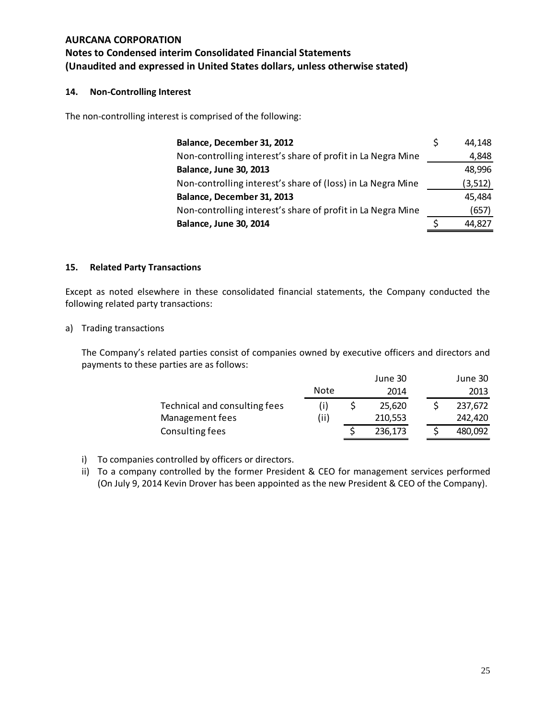## **14. Non-Controlling Interest**

The non-controlling interest is comprised of the following:

| Balance, December 31, 2012                                  | 44.148   |
|-------------------------------------------------------------|----------|
| Non-controlling interest's share of profit in La Negra Mine | 4,848    |
| <b>Balance, June 30, 2013</b>                               | 48,996   |
| Non-controlling interest's share of (loss) in La Negra Mine | (3, 512) |
| Balance, December 31, 2013                                  | 45,484   |
| Non-controlling interest's share of profit in La Negra Mine | (657)    |
| <b>Balance, June 30, 2014</b>                               | 44.827   |

#### **15. Related Party Transactions**

Except as noted elsewhere in these consolidated financial statements, the Company conducted the following related party transactions:

a) Trading transactions

The Company's related parties consist of companies owned by executive officers and directors and payments to these parties are as follows:

|                               |      | June 30 |  | June 30 |
|-------------------------------|------|---------|--|---------|
|                               | Note | 2014    |  | 2013    |
| Technical and consulting fees |      | 25.620  |  | 237,672 |
| Management fees               | (ii) | 210,553 |  | 242,420 |
| Consulting fees               |      | 236,173 |  | 480,092 |

- i) To companies controlled by officers or directors.
- ii) To a company controlled by the former President & CEO for management services performed (On July 9, 2014 Kevin Drover has been appointed as the new President & CEO of the Company).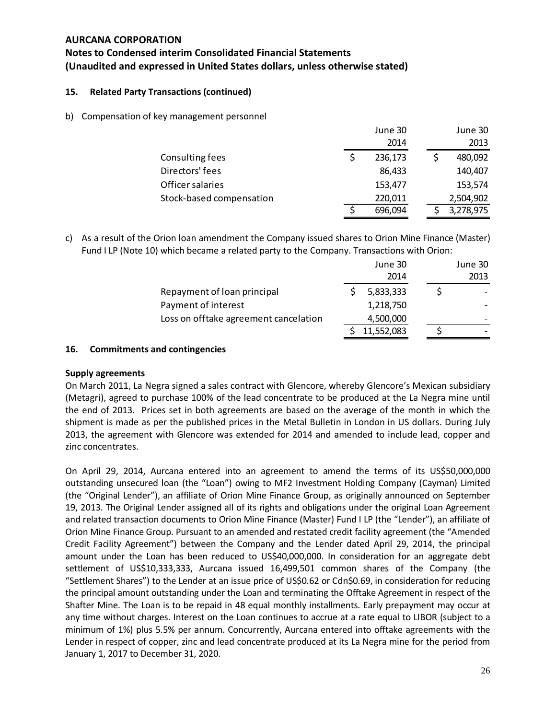# **Notes to Condensed interim Consolidated Financial Statements (Unaudited and expressed in United States dollars, unless otherwise stated)**

## **15. Related Party Transactions (continued)**

b) Compensation of key management personnel

|                          | June 30 |  | June 30   |
|--------------------------|---------|--|-----------|
|                          | 2014    |  | 2013      |
| Consulting fees          | 236,173 |  | 480,092   |
| Directors' fees          | 86,433  |  | 140,407   |
| Officer salaries         | 153,477 |  | 153,574   |
| Stock-based compensation | 220,011 |  | 2,504,902 |
|                          | 696,094 |  | 3,278,975 |

c) As a result of the Orion loan amendment the Company issued shares to Orion Mine Finance (Master) Fund I LP (Note 10) which became a related party to the Company. Transactions with Orion:

|                                       | June 30    | June 30 |
|---------------------------------------|------------|---------|
|                                       | 2014       | 2013    |
| Repayment of loan principal           | 5,833,333  |         |
| Payment of interest                   | 1,218,750  |         |
| Loss on offtake agreement cancelation | 4,500,000  |         |
|                                       | 11,552,083 |         |

#### **16. Commitments and contingencies**

#### **Supply agreements**

On March 2011, La Negra signed a sales contract with Glencore, whereby Glencore's Mexican subsidiary (Metagri), agreed to purchase 100% of the lead concentrate to be produced at the La Negra mine until the end of 2013. Prices set in both agreements are based on the average of the month in which the shipment is made as per the published prices in the Metal Bulletin in London in US dollars. During July 2013, the agreement with Glencore was extended for 2014 and amended to include lead, copper and zinc concentrates.

On April 29, 2014, Aurcana entered into an agreement to amend the terms of its US\$50,000,000 outstanding unsecured loan (the "Loan") owing to MF2 Investment Holding Company (Cayman) Limited (the "Original Lender"), an affiliate of Orion Mine Finance Group, as originally announced on September 19, 2013. The Original Lender assigned all of its rights and obligations under the original Loan Agreement and related transaction documents to Orion Mine Finance (Master) Fund I LP (the "Lender"), an affiliate of Orion Mine Finance Group. Pursuant to an amended and restated credit facility agreement (the "Amended Credit Facility Agreement") between the Company and the Lender dated April 29, 2014, the principal amount under the Loan has been reduced to US\$40,000,000. In consideration for an aggregate debt settlement of US\$10,333,333, Aurcana issued 16,499,501 common shares of the Company (the "Settlement Shares") to the Lender at an issue price of US\$0.62 or Cdn\$0.69, in consideration for reducing the principal amount outstanding under the Loan and terminating the Offtake Agreement in respect of the Shafter Mine. The Loan is to be repaid in 48 equal monthly installments. Early prepayment may occur at any time without charges. Interest on the Loan continues to accrue at a rate equal to LIBOR (subject to a minimum of 1%) plus 5.5% per annum. Concurrently, Aurcana entered into offtake agreements with the Lender in respect of copper, zinc and lead concentrate produced at its La Negra mine for the period from January 1, 2017 to December 31, 2020.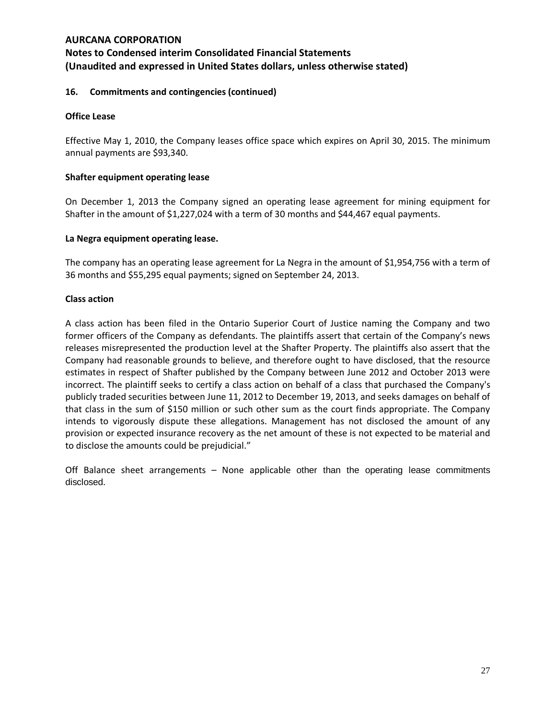# **Notes to Condensed interim Consolidated Financial Statements (Unaudited and expressed in United States dollars, unless otherwise stated)**

#### **16. Commitments and contingencies (continued)**

#### **Office Lease**

Effective May 1, 2010, the Company leases office space which expires on April 30, 2015. The minimum annual payments are \$93,340.

#### **Shafter equipment operating lease**

On December 1, 2013 the Company signed an operating lease agreement for mining equipment for Shafter in the amount of \$1,227,024 with a term of 30 months and \$44,467 equal payments.

#### **La Negra equipment operating lease.**

The company has an operating lease agreement for La Negra in the amount of \$1,954,756 with a term of 36 months and \$55,295 equal payments; signed on September 24, 2013.

#### **Class action**

A class action has been filed in the Ontario Superior Court of Justice naming the Company and two former officers of the Company as defendants. The plaintiffs assert that certain of the Company's news releases misrepresented the production level at the Shafter Property. The plaintiffs also assert that the Company had reasonable grounds to believe, and therefore ought to have disclosed, that the resource estimates in respect of Shafter published by the Company between June 2012 and October 2013 were incorrect. The plaintiff seeks to certify a class action on behalf of a class that purchased the Company's publicly traded securities between June 11, 2012 to December 19, 2013, and seeks damages on behalf of that class in the sum of \$150 million or such other sum as the court finds appropriate. The Company intends to vigorously dispute these allegations. Management has not disclosed the amount of any provision or expected insurance recovery as the net amount of these is not expected to be material and to disclose the amounts could be prejudicial."

Off Balance sheet arrangements – None applicable other than the operating lease commitments disclosed.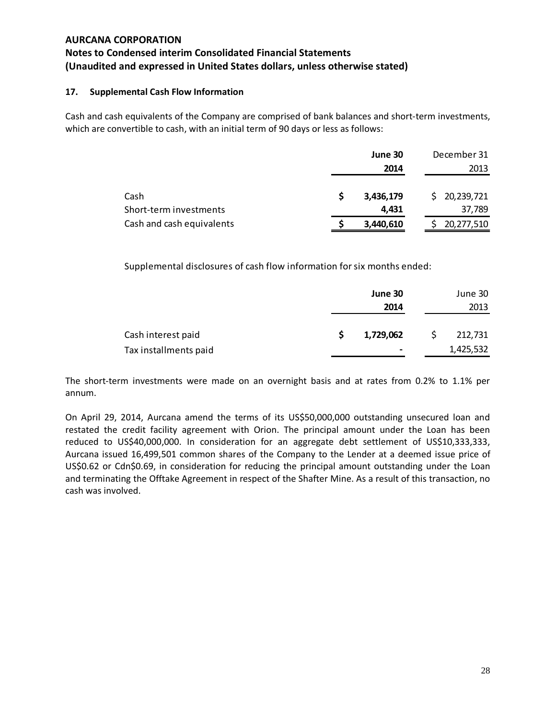## **17. Supplemental Cash Flow Information**

Cash and cash equivalents of the Company are comprised of bank balances and short-term investments, which are convertible to cash, with an initial term of 90 days or less as follows:

|                           | June 30   | December 31  |
|---------------------------|-----------|--------------|
|                           | 2014      | 2013         |
|                           |           |              |
| Cash                      | 3,436,179 | \$20,239,721 |
| Short-term investments    | 4.431     | 37,789       |
| Cash and cash equivalents | 3,440,610 | 20,277,510   |

Supplemental disclosures of cash flow information for six months ended:

|                       | June 30   | June 30   |
|-----------------------|-----------|-----------|
|                       | 2014      | 2013      |
|                       |           |           |
| Cash interest paid    | 1,729,062 | 212,731   |
| Tax installments paid | $\,$      | 1,425,532 |

The short-term investments were made on an overnight basis and at rates from 0.2% to 1.1% per annum.

On April 29, 2014, Aurcana amend the terms of its US\$50,000,000 outstanding unsecured loan and restated the credit facility agreement with Orion. The principal amount under the Loan has been reduced to US\$40,000,000. In consideration for an aggregate debt settlement of US\$10,333,333, Aurcana issued 16,499,501 common shares of the Company to the Lender at a deemed issue price of US\$0.62 or Cdn\$0.69, in consideration for reducing the principal amount outstanding under the Loan and terminating the Offtake Agreement in respect of the Shafter Mine. As a result of this transaction, no cash was involved.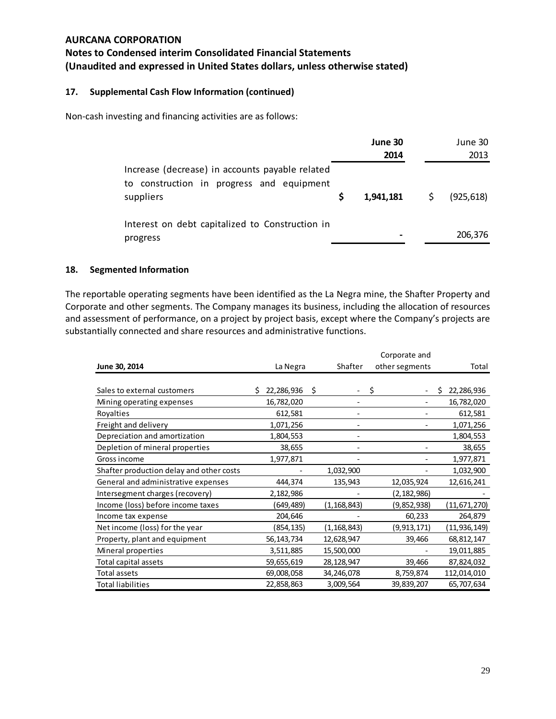# **Notes to Condensed interim Consolidated Financial Statements (Unaudited and expressed in United States dollars, unless otherwise stated)**

## **17. Supplemental Cash Flow Information (continued)**

Non-cash investing and financing activities are as follows:

|                                                                                                           | June 30<br>2014 |                     | June 30<br>2013 |
|-----------------------------------------------------------------------------------------------------------|-----------------|---------------------|-----------------|
| Increase (decrease) in accounts payable related<br>to construction in progress and equipment<br>suppliers | 1,941,181       | $\ddot{\mathsf{S}}$ | (925, 618)      |
| Interest on debt capitalized to Construction in<br>progress                                               |                 |                     | 206,376         |

#### **18. Segmented Information**

The reportable operating segments have been identified as the La Negra mine, the Shafter Property and Corporate and other segments. The Company manages its business, including the allocation of resources and assessment of performance, on a project by project basis, except where the Company's projects are substantially connected and share resources and administrative functions.

|                                          |                  |   |               | Corporate and  |                 |
|------------------------------------------|------------------|---|---------------|----------------|-----------------|
| June 30, 2014                            | La Negra         |   | Shafter       | other segments | Total           |
|                                          |                  |   |               |                |                 |
| Sales to external customers              | 22,286,936<br>S. | S |               | S              | 22,286,936<br>S |
| Mining operating expenses                | 16,782,020       |   |               |                | 16,782,020      |
| Royalties                                | 612,581          |   |               |                | 612,581         |
| Freight and delivery                     | 1,071,256        |   |               |                | 1,071,256       |
| Depreciation and amortization            | 1,804,553        |   |               |                | 1,804,553       |
| Depletion of mineral properties          | 38,655           |   |               |                | 38,655          |
| Gross income                             | 1,977,871        |   |               |                | 1,977,871       |
| Shafter production delay and other costs |                  |   | 1,032,900     |                | 1,032,900       |
| General and administrative expenses      | 444,374          |   | 135,943       | 12,035,924     | 12,616,241      |
| Intersegment charges (recovery)          | 2,182,986        |   |               | (2, 182, 986)  |                 |
| Income (loss) before income taxes        | (649,489)        |   | (1,168,843)   | (9,852,938)    | (11,671,270)    |
| Income tax expense                       | 204,646          |   |               | 60,233         | 264,879         |
| Net income (loss) for the year           | (854, 135)       |   | (1, 168, 843) | (9, 913, 171)  | (11,936,149)    |
| Property, plant and equipment            | 56, 143, 734     |   | 12,628,947    | 39,466         | 68,812,147      |
| Mineral properties                       | 3,511,885        |   | 15,500,000    |                | 19,011,885      |
| Total capital assets                     | 59,655,619       |   | 28,128,947    | 39,466         | 87,824,032      |
| Total assets                             | 69,008,058       |   | 34,246,078    | 8,759,874      | 112,014,010     |
| <b>Total liabilities</b>                 | 22,858,863       |   | 3,009,564     | 39,839,207     | 65,707,634      |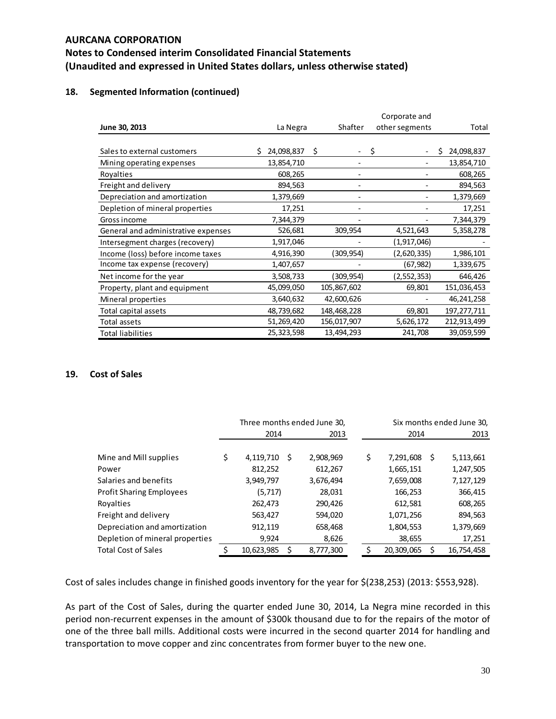## **18. Segmented Information (continued)**

|                                     |                 | Corporate and |                |                 |  |  |  |  |
|-------------------------------------|-----------------|---------------|----------------|-----------------|--|--|--|--|
| June 30, 2013                       | La Negra        | Shafter       | other segments | Total           |  |  |  |  |
|                                     |                 |               |                |                 |  |  |  |  |
| Sales to external customers         | 24,098,837<br>Ś | \$.           | \$             | 24,098,837<br>S |  |  |  |  |
| Mining operating expenses           | 13,854,710      |               |                | 13,854,710      |  |  |  |  |
| Royalties                           | 608,265         |               |                | 608,265         |  |  |  |  |
| Freight and delivery                | 894,563         | -             |                | 894,563         |  |  |  |  |
| Depreciation and amortization       | 1,379,669       |               |                | 1,379,669       |  |  |  |  |
| Depletion of mineral properties     | 17,251          |               |                | 17,251          |  |  |  |  |
| Gross income                        | 7,344,379       |               |                | 7,344,379       |  |  |  |  |
| General and administrative expenses | 526,681         | 309,954       | 4,521,643      | 5,358,278       |  |  |  |  |
| Intersegment charges (recovery)     | 1,917,046       |               | (1,917,046)    |                 |  |  |  |  |
| Income (loss) before income taxes   | 4,916,390       | (309,954)     | (2,620,335)    | 1,986,101       |  |  |  |  |
| Income tax expense (recovery)       | 1,407,657       |               | (67, 982)      | 1,339,675       |  |  |  |  |
| Net income for the year             | 3,508,733       | (309,954)     | (2,552,353)    | 646,426         |  |  |  |  |
| Property, plant and equipment       | 45,099,050      | 105,867,602   | 69,801         | 151,036,453     |  |  |  |  |
| Mineral properties                  | 3,640,632       | 42,600,626    |                | 46,241,258      |  |  |  |  |
| Total capital assets                | 48,739,682      | 148,468,228   | 69,801         | 197,277,711     |  |  |  |  |
| Total assets                        | 51,269,420      | 156,017,907   | 5,626,172      | 212,913,499     |  |  |  |  |
| <b>Total liabilities</b>            | 25,323,598      | 13,494,293    | 241,708        | 39,059,599      |  |  |  |  |

## **19. Cost of Sales**

|                                 | Three months ended June 30, |    |           |  |    |            | Six months ended June 30, |
|---------------------------------|-----------------------------|----|-----------|--|----|------------|---------------------------|
|                                 | 2014                        |    | 2013      |  |    | 2014       | 2013                      |
| Mine and Mill supplies          | \$<br>4,119,710             | \$ | 2,908,969 |  | \$ | 7,291,608  | \$<br>5,113,661           |
| Power                           | 812,252                     |    | 612,267   |  |    | 1,665,151  | 1,247,505                 |
| Salaries and benefits           | 3,949,797                   |    | 3,676,494 |  |    | 7,659,008  | 7,127,129                 |
| <b>Profit Sharing Employees</b> | (5,717)                     |    | 28,031    |  |    | 166,253    | 366,415                   |
| Rovalties                       | 262,473                     |    | 290,426   |  |    | 612,581    | 608,265                   |
| Freight and delivery            | 563,427                     |    | 594,020   |  |    | 1,071,256  | 894,563                   |
| Depreciation and amortization   | 912,119                     |    | 658,468   |  |    | 1,804,553  | 1,379,669                 |
| Depletion of mineral properties | 9,924                       |    | 8,626     |  |    | 38,655     | 17,251                    |
| <b>Total Cost of Sales</b>      | 10.623.985                  | Ŝ. | 8,777,300 |  |    | 20,309,065 | 16,754,458                |

Cost of sales includes change in finished goods inventory for the year for \$(238,253) (2013: \$553,928).

As part of the Cost of Sales, during the quarter ended June 30, 2014, La Negra mine recorded in this period non-recurrent expenses in the amount of \$300k thousand due to for the repairs of the motor of one of the three ball mills. Additional costs were incurred in the second quarter 2014 for handling and transportation to move copper and zinc concentrates from former buyer to the new one.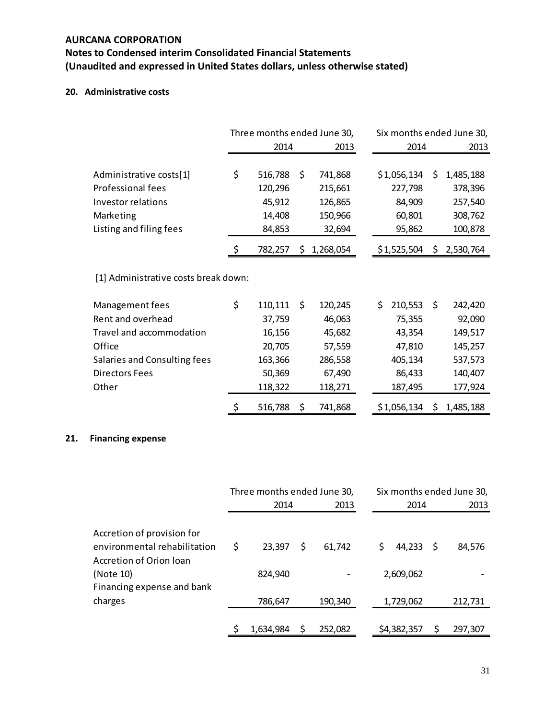# **Notes to Condensed interim Consolidated Financial Statements (Unaudited and expressed in United States dollars, unless otherwise stated)**

## **20. Administrative costs**

|                                      | Three months ended June 30, |         |    |           |      | Six months ended June 30, |     |           |
|--------------------------------------|-----------------------------|---------|----|-----------|------|---------------------------|-----|-----------|
|                                      | 2014<br>2013                |         |    |           | 2014 | 2013                      |     |           |
|                                      |                             |         |    |           |      |                           |     |           |
| Administrative costs[1]              | \$                          | 516,788 | \$ | 741,868   |      | \$1,056,134               | \$  | 1,485,188 |
| Professional fees                    |                             | 120,296 |    | 215,661   |      | 227,798                   |     | 378,396   |
| Investor relations                   |                             | 45,912  |    | 126,865   |      | 84,909                    |     | 257,540   |
| Marketing                            |                             | 14,408  |    | 150,966   |      | 60,801                    |     | 308,762   |
| Listing and filing fees              |                             | 84,853  |    | 32,694    |      | 95,862                    |     | 100,878   |
|                                      | \$                          | 782,257 | \$ | 1,268,054 |      | \$1,525,504               | \$  | 2,530,764 |
| [1] Administrative costs break down: |                             |         |    |           |      |                           |     |           |
| Management fees                      | \$                          | 110,111 | Ŝ. | 120,245   |      | \$.<br>210,553            | \$. | 242,420   |
| Rent and overhead                    |                             | 37,759  |    | 46,063    |      | 75,355                    |     | 92,090    |
| Travel and accommodation             |                             | 16,156  |    | 45,682    |      | 43,354                    |     | 149,517   |
| Office                               |                             | 20,705  |    | 57,559    |      | 47,810                    |     | 145,257   |
| Salaries and Consulting fees         |                             | 163,366 |    | 286,558   |      | 405,134                   |     | 537,573   |
| <b>Directors Fees</b>                |                             | 50,369  |    | 67,490    |      | 86,433                    |     | 140,407   |
| Other                                |                             | 118,322 |    | 118,271   |      | 187,495                   |     | 177,924   |
|                                      | \$                          | 516,788 | Ś  | 741,868   |      | \$1,056,134               | \$  | 1,485,188 |

## **21. Financing expense**

|                                                         | Three months ended June 30, |           |   |         |    | Six months ended June 30, |      |         |  |
|---------------------------------------------------------|-----------------------------|-----------|---|---------|----|---------------------------|------|---------|--|
|                                                         |                             | 2014      |   | 2013    |    | 2014                      |      | 2013    |  |
| Accretion of provision for                              |                             |           |   |         |    |                           |      |         |  |
| environmental rehabilitation<br>Accretion of Orion Ioan | Ś                           | 23,397    | S | 61,742  | \$ | 44,233                    | - \$ | 84.576  |  |
| (Note 10)<br>Financing expense and bank                 |                             | 824,940   |   |         |    | 2,609,062                 |      |         |  |
| charges                                                 |                             | 786,647   |   | 190,340 |    | 1,729,062                 |      | 212,731 |  |
|                                                         |                             | 1,634,984 |   | 252,082 |    | \$4,382,357               |      | 297,307 |  |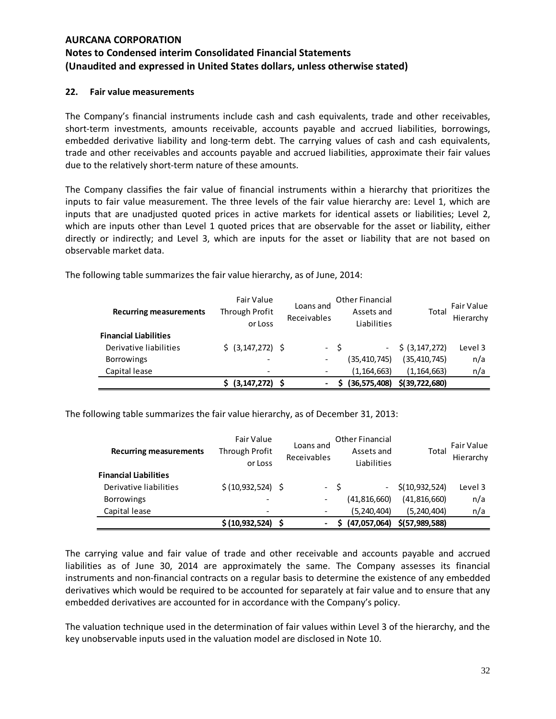## **22. Fair value measurements**

The Company's financial instruments include cash and cash equivalents, trade and other receivables, short-term investments, amounts receivable, accounts payable and accrued liabilities, borrowings, embedded derivative liability and long-term debt. The carrying values of cash and cash equivalents, trade and other receivables and accounts payable and accrued liabilities, approximate their fair values due to the relatively short‐term nature of these amounts.

The Company classifies the fair value of financial instruments within a hierarchy that prioritizes the inputs to fair value measurement. The three levels of the fair value hierarchy are: Level 1, which are inputs that are unadjusted quoted prices in active markets for identical assets or liabilities; Level 2, which are inputs other than Level 1 quoted prices that are observable for the asset or liability, either directly or indirectly; and Level 3, which are inputs for the asset or liability that are not based on observable market data.

| <b>Recurring measurements</b> | Fair Value<br>Through Profit<br>or Loss | Loans and<br>Receivables                                                                                                                          | <b>Other Financial</b><br>Assets and<br>Liabilities | Total              | Fair Value<br>Hierarchy |
|-------------------------------|-----------------------------------------|---------------------------------------------------------------------------------------------------------------------------------------------------|-----------------------------------------------------|--------------------|-------------------------|
| <b>Financial Liabilities</b>  |                                         |                                                                                                                                                   |                                                     |                    |                         |
| Derivative liabilities        | \$ (3, 147, 272) \$                     |                                                                                                                                                   | $- S$                                               | $-$ \$ (3,147,272) | Level 3                 |
| <b>Borrowings</b>             | $\overline{\phantom{0}}$                | $\qquad \qquad \blacksquare$                                                                                                                      | (35, 410, 745)                                      | (35, 410, 745)     | n/a                     |
| Capital lease                 |                                         |                                                                                                                                                   | (1, 164, 663)                                       | (1, 164, 663)      | n/a                     |
|                               | $(3, 147, 272)$ \$                      | $\hskip1.6pt\hskip1.6pt\hskip1.6pt\hskip1.6pt\hskip1.6pt\hskip1.6pt\hskip1.6pt\hskip1.6pt\hskip1.6pt\hskip1.6pt\hskip1.6pt\hskip1.6pt\hskip1.6pt$ | (36, 575, 408)                                      | $$$ (39,722,680)   |                         |

The following table summarizes the fair value hierarchy, as of June, 2014:

The following table summarizes the fair value hierarchy, as of December 31, 2013:

| <b>Recurring measurements</b> | Fair Value<br>Through Profit<br>or Loss | Loans and<br>Receivables | <b>Other Financial</b><br>Assets and<br>Liabilities | Total            | Fair Value<br>Hierarchy |
|-------------------------------|-----------------------------------------|--------------------------|-----------------------------------------------------|------------------|-------------------------|
| <b>Financial Liabilities</b>  |                                         |                          |                                                     |                  |                         |
| Derivative liabilities        | \$ (10,932,524) \$                      |                          | - S                                                 | \$(10, 932, 524) | Level 3                 |
| <b>Borrowings</b>             | $\overline{\phantom{a}}$                | $\overline{\phantom{a}}$ | (41, 816, 660)                                      | (41,816,660)     | n/a                     |
| Capital lease                 | $\overline{\phantom{0}}$                |                          | (5,240,404)                                         | (5, 240, 404)    | n/a                     |
|                               | \$(10, 932, 524)                        | $\blacksquare$           | (47,057,064)                                        | \$(57,989,588)   |                         |

The carrying value and fair value of trade and other receivable and accounts payable and accrued liabilities as of June 30, 2014 are approximately the same. The Company assesses its financial instruments and non‐financial contracts on a regular basis to determine the existence of any embedded derivatives which would be required to be accounted for separately at fair value and to ensure that any embedded derivatives are accounted for in accordance with the Company's policy.

The valuation technique used in the determination of fair values within Level 3 of the hierarchy, and the key unobservable inputs used in the valuation model are disclosed in Note 10.